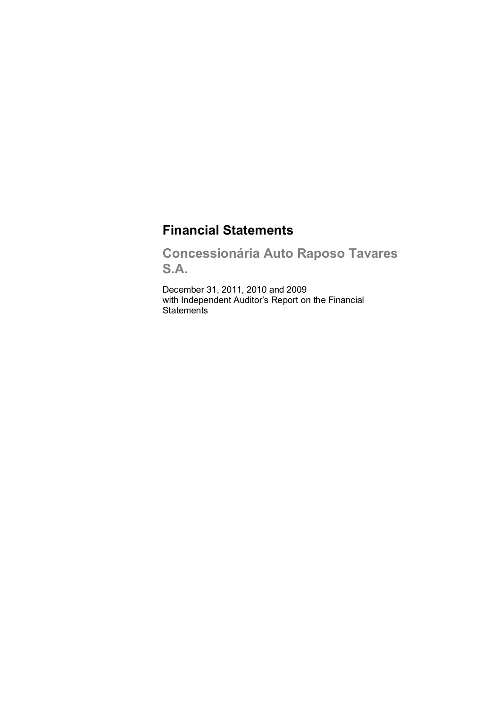# **Financial Statements**

**Concessionária Auto Raposo Tavares S.A.**

December 31, 2011, 2010 and 2009 with Independent Auditor's Report on the Financial **Statements**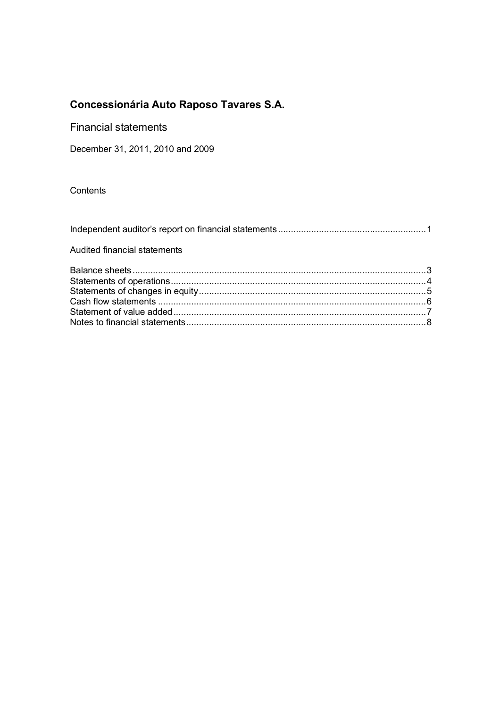Financial statements

December 31, 2011, 2010 and 2009

**Contents** 

| Audited financial statements |  |
|------------------------------|--|
|                              |  |
|                              |  |
|                              |  |
|                              |  |
|                              |  |
|                              |  |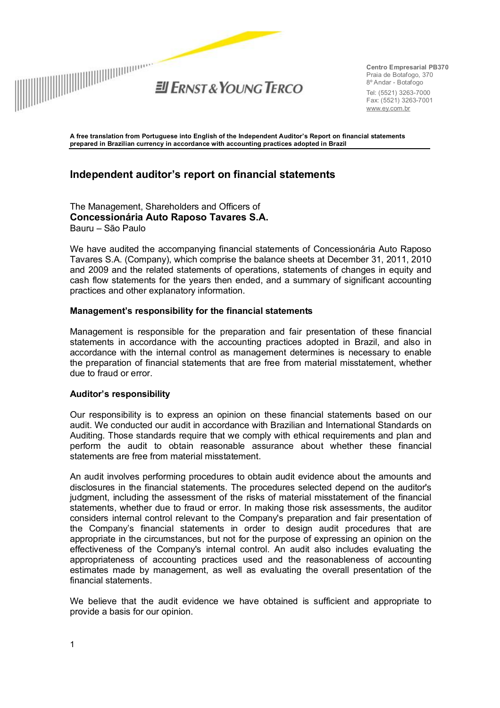

**Centro Empresarial PB370**  Praia de Botafogo, 370 8º Andar - Botafogo Tel: (5521) 3263-7000 Fax: (5521) 3263-7001 [www.ey.com.br](http://www.ey.com.br)

**A free translation from Portuguese into English of the Independent Auditor's Report on financial statements prepared in Brazilian currency in accordance with accounting practices adopted in Brazil** 

## **Independent auditor's report on financial statements**

The Management, Shareholders and Officers of **Concessionária Auto Raposo Tavares S.A.**  Bauru – São Paulo

We have audited the accompanying financial statements of Concessionária Auto Raposo Tavares S.A. (Company), which comprise the balance sheets at December 31, 2011, 2010 and 2009 and the related statements of operations, statements of changes in equity and cash flow statements for the years then ended, and a summary of significant accounting practices and other explanatory information.

#### **Management's responsibility for the financial statements**

Management is responsible for the preparation and fair presentation of these financial statements in accordance with the accounting practices adopted in Brazil, and also in accordance with the internal control as management determines is necessary to enable the preparation of financial statements that are free from material misstatement, whether due to fraud or error.

#### **Auditor's responsibility**

Our responsibility is to express an opinion on these financial statements based on our audit. We conducted our audit in accordance with Brazilian and International Standards on Auditing. Those standards require that we comply with ethical requirements and plan and perform the audit to obtain reasonable assurance about whether these financial statements are free from material misstatement.

An audit involves performing procedures to obtain audit evidence about the amounts and disclosures in the financial statements. The procedures selected depend on the auditor's judgment, including the assessment of the risks of material misstatement of the financial statements, whether due to fraud or error. In making those risk assessments, the auditor considers internal control relevant to the Company's preparation and fair presentation of the Company's financial statements in order to design audit procedures that are appropriate in the circumstances, but not for the purpose of expressing an opinion on the effectiveness of the Company's internal control. An audit also includes evaluating the appropriateness of accounting practices used and the reasonableness of accounting estimates made by management, as well as evaluating the overall presentation of the financial statements.

We believe that the audit evidence we have obtained is sufficient and appropriate to provide a basis for our opinion.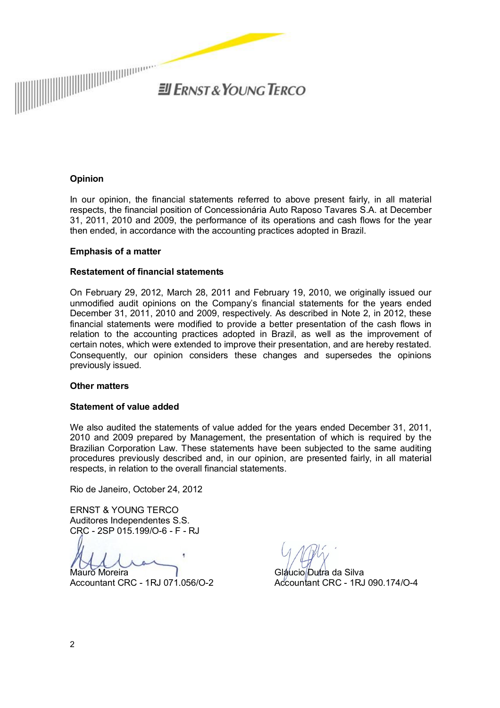

 $H$ *ENST & YOUNG TERCO* 

#### **Opinion**

In our opinion, the financial statements referred to above present fairly, in all material respects, the financial position of Concessionária Auto Raposo Tavares S.A. at December 31, 2011, 2010 and 2009, the performance of its operations and cash flows for the year then ended, in accordance with the accounting practices adopted in Brazil.

#### **Emphasis of a matter**

#### **Restatement of financial statements**

On February 29, 2012, March 28, 2011 and February 19, 2010, we originally issued our unmodified audit opinions on the Company's financial statements for the years ended December 31, 2011, 2010 and 2009, respectively. As described in Note 2, in 2012, these financial statements were modified to provide a better presentation of the cash flows in relation to the accounting practices adopted in Brazil, as well as the improvement of certain notes, which were extended to improve their presentation, and are hereby restated. Consequently, our opinion considers these changes and supersedes the opinions previously issued.

#### **Other matters**

#### **Statement of value added**

We also audited the statements of value added for the years ended December 31, 2011, 2010 and 2009 prepared by Management, the presentation of which is required by the Brazilian Corporation Law. These statements have been subjected to the same auditing procedures previously described and, in our opinion, are presented fairly, in all material respects, in relation to the overall financial statements.

Rio de Janeiro, October 24, 2012

ERNST & YOUNG TERCO Auditores Independentes S.S. CRC - 2SP 015.199/O-6 - F - RJ

Mauro Moreira

Accountant CRC - 1RJ 071.056/O-2

Gláucio/Dutra da Silva Accountant CRC - 1RJ 090.174/O-4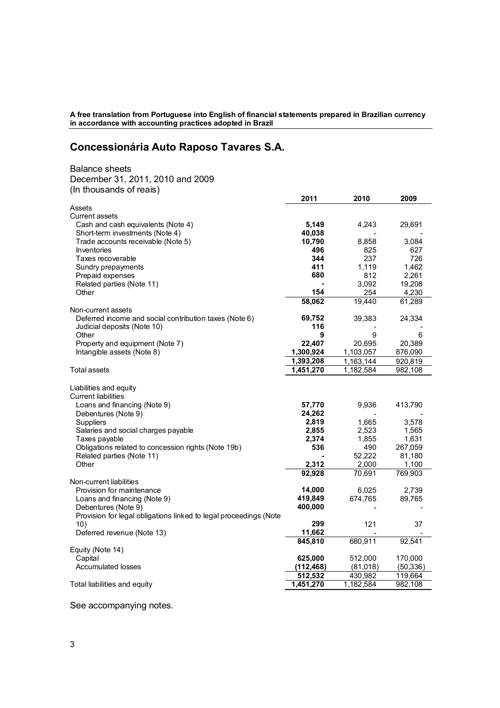**A free translation from Portuguese into English of financial statements prepared in Brazilian currency in accordance with accounting practices adopted in Brazil** 

## **Concessionária Auto Raposo Tavares S.A.**

Balance sheets December 31, 2011, 2010 and 2009 (In thousands of reais)

| Assets<br>Current assets<br>5,149<br>Cash and cash equivalents (Note 4)<br>4,243<br>29,691<br>40,038<br>Short-term investments (Note 4)<br>Trade accounts receivable (Note 5)<br>10,790<br>3,084<br>8,858<br>825<br>627<br>Inventories<br>496<br>Taxes recoverable<br>344<br>237<br>726<br>411<br>1,119<br>1,462<br>Sundry prepayments<br>680<br>812<br>2,261<br>Prepaid expenses<br>Related parties (Note 11)<br>19,208<br>3,092<br>254<br>4,230<br>Other<br>154<br>58,062<br>19,440<br>61,289<br>Non-current assets<br>Deferred income and social contribution taxes (Note 6)<br>69,752<br>39,383<br>24,334<br>116<br>Judicial deposits (Note 10)<br>$\boldsymbol{9}$<br>9<br>Other<br>6<br>22,407<br>Property and equipment (Note 7)<br>20,695<br>20,389<br>1,300,924<br>Intangible assets (Note 8)<br>1,103,057<br>876,090<br>1,393,208<br>1,163,144<br>920,819<br>1,451,270<br>1,182,584<br>982,108<br><b>Total assets</b><br>Liabilities and equity<br><b>Current liabilities</b><br>57,770<br>9,936<br>413,790<br>Loans and financing (Note 9)<br>24,262<br>Debentures (Note 9)<br>2,819<br>Suppliers<br>1,665<br>3,578<br>Salaries and social charges payable<br>2,855<br>2,523<br>1,565<br>2,374<br>1,855<br>1,631<br>Taxes payable<br>536<br>490<br>267,059<br>Obligations related to concession rights (Note 19b)<br>Related parties (Note 11)<br>52,222<br>81,180<br>Other<br>2,312<br>2,000<br>1,100<br>70,691<br>92,928<br>769,903<br>Non-current liabilities<br>14,000<br>2,739<br>Provision for maintenance<br>6,025<br>674,765<br>Loans and financing (Note 9)<br>419,849<br>89,765<br>Debentures (Note 9)<br>400,000<br>Provision for legal obligations linked to legal proceedings (Note<br>299<br>121<br>10)<br>37<br>11,662<br>Deferred revenue (Note 13)<br>845,810<br>680,911<br>92,541<br>Equity (Note 14)<br>625,000<br>512,000<br>170,000<br>Capital<br>(112, 468)<br>(81,018)<br>(50, 336)<br>Accumulated losses<br>512,532<br>430,982<br>119,664<br>1,451,270<br>1,182,584<br>982,108<br>Total liabilities and equity | 2011 | 2010 | 2009 |
|---------------------------------------------------------------------------------------------------------------------------------------------------------------------------------------------------------------------------------------------------------------------------------------------------------------------------------------------------------------------------------------------------------------------------------------------------------------------------------------------------------------------------------------------------------------------------------------------------------------------------------------------------------------------------------------------------------------------------------------------------------------------------------------------------------------------------------------------------------------------------------------------------------------------------------------------------------------------------------------------------------------------------------------------------------------------------------------------------------------------------------------------------------------------------------------------------------------------------------------------------------------------------------------------------------------------------------------------------------------------------------------------------------------------------------------------------------------------------------------------------------------------------------------------------------------------------------------------------------------------------------------------------------------------------------------------------------------------------------------------------------------------------------------------------------------------------------------------------------------------------------------------------------------------------------------------------------------------------------------------------------------------------------------------------|------|------|------|
|                                                                                                                                                                                                                                                                                                                                                                                                                                                                                                                                                                                                                                                                                                                                                                                                                                                                                                                                                                                                                                                                                                                                                                                                                                                                                                                                                                                                                                                                                                                                                                                                                                                                                                                                                                                                                                                                                                                                                                                                                                                   |      |      |      |
|                                                                                                                                                                                                                                                                                                                                                                                                                                                                                                                                                                                                                                                                                                                                                                                                                                                                                                                                                                                                                                                                                                                                                                                                                                                                                                                                                                                                                                                                                                                                                                                                                                                                                                                                                                                                                                                                                                                                                                                                                                                   |      |      |      |
|                                                                                                                                                                                                                                                                                                                                                                                                                                                                                                                                                                                                                                                                                                                                                                                                                                                                                                                                                                                                                                                                                                                                                                                                                                                                                                                                                                                                                                                                                                                                                                                                                                                                                                                                                                                                                                                                                                                                                                                                                                                   |      |      |      |
|                                                                                                                                                                                                                                                                                                                                                                                                                                                                                                                                                                                                                                                                                                                                                                                                                                                                                                                                                                                                                                                                                                                                                                                                                                                                                                                                                                                                                                                                                                                                                                                                                                                                                                                                                                                                                                                                                                                                                                                                                                                   |      |      |      |
|                                                                                                                                                                                                                                                                                                                                                                                                                                                                                                                                                                                                                                                                                                                                                                                                                                                                                                                                                                                                                                                                                                                                                                                                                                                                                                                                                                                                                                                                                                                                                                                                                                                                                                                                                                                                                                                                                                                                                                                                                                                   |      |      |      |
|                                                                                                                                                                                                                                                                                                                                                                                                                                                                                                                                                                                                                                                                                                                                                                                                                                                                                                                                                                                                                                                                                                                                                                                                                                                                                                                                                                                                                                                                                                                                                                                                                                                                                                                                                                                                                                                                                                                                                                                                                                                   |      |      |      |
|                                                                                                                                                                                                                                                                                                                                                                                                                                                                                                                                                                                                                                                                                                                                                                                                                                                                                                                                                                                                                                                                                                                                                                                                                                                                                                                                                                                                                                                                                                                                                                                                                                                                                                                                                                                                                                                                                                                                                                                                                                                   |      |      |      |
|                                                                                                                                                                                                                                                                                                                                                                                                                                                                                                                                                                                                                                                                                                                                                                                                                                                                                                                                                                                                                                                                                                                                                                                                                                                                                                                                                                                                                                                                                                                                                                                                                                                                                                                                                                                                                                                                                                                                                                                                                                                   |      |      |      |
|                                                                                                                                                                                                                                                                                                                                                                                                                                                                                                                                                                                                                                                                                                                                                                                                                                                                                                                                                                                                                                                                                                                                                                                                                                                                                                                                                                                                                                                                                                                                                                                                                                                                                                                                                                                                                                                                                                                                                                                                                                                   |      |      |      |
|                                                                                                                                                                                                                                                                                                                                                                                                                                                                                                                                                                                                                                                                                                                                                                                                                                                                                                                                                                                                                                                                                                                                                                                                                                                                                                                                                                                                                                                                                                                                                                                                                                                                                                                                                                                                                                                                                                                                                                                                                                                   |      |      |      |
|                                                                                                                                                                                                                                                                                                                                                                                                                                                                                                                                                                                                                                                                                                                                                                                                                                                                                                                                                                                                                                                                                                                                                                                                                                                                                                                                                                                                                                                                                                                                                                                                                                                                                                                                                                                                                                                                                                                                                                                                                                                   |      |      |      |
|                                                                                                                                                                                                                                                                                                                                                                                                                                                                                                                                                                                                                                                                                                                                                                                                                                                                                                                                                                                                                                                                                                                                                                                                                                                                                                                                                                                                                                                                                                                                                                                                                                                                                                                                                                                                                                                                                                                                                                                                                                                   |      |      |      |
|                                                                                                                                                                                                                                                                                                                                                                                                                                                                                                                                                                                                                                                                                                                                                                                                                                                                                                                                                                                                                                                                                                                                                                                                                                                                                                                                                                                                                                                                                                                                                                                                                                                                                                                                                                                                                                                                                                                                                                                                                                                   |      |      |      |
|                                                                                                                                                                                                                                                                                                                                                                                                                                                                                                                                                                                                                                                                                                                                                                                                                                                                                                                                                                                                                                                                                                                                                                                                                                                                                                                                                                                                                                                                                                                                                                                                                                                                                                                                                                                                                                                                                                                                                                                                                                                   |      |      |      |
|                                                                                                                                                                                                                                                                                                                                                                                                                                                                                                                                                                                                                                                                                                                                                                                                                                                                                                                                                                                                                                                                                                                                                                                                                                                                                                                                                                                                                                                                                                                                                                                                                                                                                                                                                                                                                                                                                                                                                                                                                                                   |      |      |      |
|                                                                                                                                                                                                                                                                                                                                                                                                                                                                                                                                                                                                                                                                                                                                                                                                                                                                                                                                                                                                                                                                                                                                                                                                                                                                                                                                                                                                                                                                                                                                                                                                                                                                                                                                                                                                                                                                                                                                                                                                                                                   |      |      |      |
|                                                                                                                                                                                                                                                                                                                                                                                                                                                                                                                                                                                                                                                                                                                                                                                                                                                                                                                                                                                                                                                                                                                                                                                                                                                                                                                                                                                                                                                                                                                                                                                                                                                                                                                                                                                                                                                                                                                                                                                                                                                   |      |      |      |
|                                                                                                                                                                                                                                                                                                                                                                                                                                                                                                                                                                                                                                                                                                                                                                                                                                                                                                                                                                                                                                                                                                                                                                                                                                                                                                                                                                                                                                                                                                                                                                                                                                                                                                                                                                                                                                                                                                                                                                                                                                                   |      |      |      |
|                                                                                                                                                                                                                                                                                                                                                                                                                                                                                                                                                                                                                                                                                                                                                                                                                                                                                                                                                                                                                                                                                                                                                                                                                                                                                                                                                                                                                                                                                                                                                                                                                                                                                                                                                                                                                                                                                                                                                                                                                                                   |      |      |      |
|                                                                                                                                                                                                                                                                                                                                                                                                                                                                                                                                                                                                                                                                                                                                                                                                                                                                                                                                                                                                                                                                                                                                                                                                                                                                                                                                                                                                                                                                                                                                                                                                                                                                                                                                                                                                                                                                                                                                                                                                                                                   |      |      |      |
|                                                                                                                                                                                                                                                                                                                                                                                                                                                                                                                                                                                                                                                                                                                                                                                                                                                                                                                                                                                                                                                                                                                                                                                                                                                                                                                                                                                                                                                                                                                                                                                                                                                                                                                                                                                                                                                                                                                                                                                                                                                   |      |      |      |
|                                                                                                                                                                                                                                                                                                                                                                                                                                                                                                                                                                                                                                                                                                                                                                                                                                                                                                                                                                                                                                                                                                                                                                                                                                                                                                                                                                                                                                                                                                                                                                                                                                                                                                                                                                                                                                                                                                                                                                                                                                                   |      |      |      |
|                                                                                                                                                                                                                                                                                                                                                                                                                                                                                                                                                                                                                                                                                                                                                                                                                                                                                                                                                                                                                                                                                                                                                                                                                                                                                                                                                                                                                                                                                                                                                                                                                                                                                                                                                                                                                                                                                                                                                                                                                                                   |      |      |      |
|                                                                                                                                                                                                                                                                                                                                                                                                                                                                                                                                                                                                                                                                                                                                                                                                                                                                                                                                                                                                                                                                                                                                                                                                                                                                                                                                                                                                                                                                                                                                                                                                                                                                                                                                                                                                                                                                                                                                                                                                                                                   |      |      |      |
|                                                                                                                                                                                                                                                                                                                                                                                                                                                                                                                                                                                                                                                                                                                                                                                                                                                                                                                                                                                                                                                                                                                                                                                                                                                                                                                                                                                                                                                                                                                                                                                                                                                                                                                                                                                                                                                                                                                                                                                                                                                   |      |      |      |
|                                                                                                                                                                                                                                                                                                                                                                                                                                                                                                                                                                                                                                                                                                                                                                                                                                                                                                                                                                                                                                                                                                                                                                                                                                                                                                                                                                                                                                                                                                                                                                                                                                                                                                                                                                                                                                                                                                                                                                                                                                                   |      |      |      |
|                                                                                                                                                                                                                                                                                                                                                                                                                                                                                                                                                                                                                                                                                                                                                                                                                                                                                                                                                                                                                                                                                                                                                                                                                                                                                                                                                                                                                                                                                                                                                                                                                                                                                                                                                                                                                                                                                                                                                                                                                                                   |      |      |      |
|                                                                                                                                                                                                                                                                                                                                                                                                                                                                                                                                                                                                                                                                                                                                                                                                                                                                                                                                                                                                                                                                                                                                                                                                                                                                                                                                                                                                                                                                                                                                                                                                                                                                                                                                                                                                                                                                                                                                                                                                                                                   |      |      |      |
|                                                                                                                                                                                                                                                                                                                                                                                                                                                                                                                                                                                                                                                                                                                                                                                                                                                                                                                                                                                                                                                                                                                                                                                                                                                                                                                                                                                                                                                                                                                                                                                                                                                                                                                                                                                                                                                                                                                                                                                                                                                   |      |      |      |
|                                                                                                                                                                                                                                                                                                                                                                                                                                                                                                                                                                                                                                                                                                                                                                                                                                                                                                                                                                                                                                                                                                                                                                                                                                                                                                                                                                                                                                                                                                                                                                                                                                                                                                                                                                                                                                                                                                                                                                                                                                                   |      |      |      |
|                                                                                                                                                                                                                                                                                                                                                                                                                                                                                                                                                                                                                                                                                                                                                                                                                                                                                                                                                                                                                                                                                                                                                                                                                                                                                                                                                                                                                                                                                                                                                                                                                                                                                                                                                                                                                                                                                                                                                                                                                                                   |      |      |      |
|                                                                                                                                                                                                                                                                                                                                                                                                                                                                                                                                                                                                                                                                                                                                                                                                                                                                                                                                                                                                                                                                                                                                                                                                                                                                                                                                                                                                                                                                                                                                                                                                                                                                                                                                                                                                                                                                                                                                                                                                                                                   |      |      |      |
|                                                                                                                                                                                                                                                                                                                                                                                                                                                                                                                                                                                                                                                                                                                                                                                                                                                                                                                                                                                                                                                                                                                                                                                                                                                                                                                                                                                                                                                                                                                                                                                                                                                                                                                                                                                                                                                                                                                                                                                                                                                   |      |      |      |
|                                                                                                                                                                                                                                                                                                                                                                                                                                                                                                                                                                                                                                                                                                                                                                                                                                                                                                                                                                                                                                                                                                                                                                                                                                                                                                                                                                                                                                                                                                                                                                                                                                                                                                                                                                                                                                                                                                                                                                                                                                                   |      |      |      |
|                                                                                                                                                                                                                                                                                                                                                                                                                                                                                                                                                                                                                                                                                                                                                                                                                                                                                                                                                                                                                                                                                                                                                                                                                                                                                                                                                                                                                                                                                                                                                                                                                                                                                                                                                                                                                                                                                                                                                                                                                                                   |      |      |      |
|                                                                                                                                                                                                                                                                                                                                                                                                                                                                                                                                                                                                                                                                                                                                                                                                                                                                                                                                                                                                                                                                                                                                                                                                                                                                                                                                                                                                                                                                                                                                                                                                                                                                                                                                                                                                                                                                                                                                                                                                                                                   |      |      |      |
|                                                                                                                                                                                                                                                                                                                                                                                                                                                                                                                                                                                                                                                                                                                                                                                                                                                                                                                                                                                                                                                                                                                                                                                                                                                                                                                                                                                                                                                                                                                                                                                                                                                                                                                                                                                                                                                                                                                                                                                                                                                   |      |      |      |
|                                                                                                                                                                                                                                                                                                                                                                                                                                                                                                                                                                                                                                                                                                                                                                                                                                                                                                                                                                                                                                                                                                                                                                                                                                                                                                                                                                                                                                                                                                                                                                                                                                                                                                                                                                                                                                                                                                                                                                                                                                                   |      |      |      |
|                                                                                                                                                                                                                                                                                                                                                                                                                                                                                                                                                                                                                                                                                                                                                                                                                                                                                                                                                                                                                                                                                                                                                                                                                                                                                                                                                                                                                                                                                                                                                                                                                                                                                                                                                                                                                                                                                                                                                                                                                                                   |      |      |      |
|                                                                                                                                                                                                                                                                                                                                                                                                                                                                                                                                                                                                                                                                                                                                                                                                                                                                                                                                                                                                                                                                                                                                                                                                                                                                                                                                                                                                                                                                                                                                                                                                                                                                                                                                                                                                                                                                                                                                                                                                                                                   |      |      |      |
|                                                                                                                                                                                                                                                                                                                                                                                                                                                                                                                                                                                                                                                                                                                                                                                                                                                                                                                                                                                                                                                                                                                                                                                                                                                                                                                                                                                                                                                                                                                                                                                                                                                                                                                                                                                                                                                                                                                                                                                                                                                   |      |      |      |
|                                                                                                                                                                                                                                                                                                                                                                                                                                                                                                                                                                                                                                                                                                                                                                                                                                                                                                                                                                                                                                                                                                                                                                                                                                                                                                                                                                                                                                                                                                                                                                                                                                                                                                                                                                                                                                                                                                                                                                                                                                                   |      |      |      |
|                                                                                                                                                                                                                                                                                                                                                                                                                                                                                                                                                                                                                                                                                                                                                                                                                                                                                                                                                                                                                                                                                                                                                                                                                                                                                                                                                                                                                                                                                                                                                                                                                                                                                                                                                                                                                                                                                                                                                                                                                                                   |      |      |      |
|                                                                                                                                                                                                                                                                                                                                                                                                                                                                                                                                                                                                                                                                                                                                                                                                                                                                                                                                                                                                                                                                                                                                                                                                                                                                                                                                                                                                                                                                                                                                                                                                                                                                                                                                                                                                                                                                                                                                                                                                                                                   |      |      |      |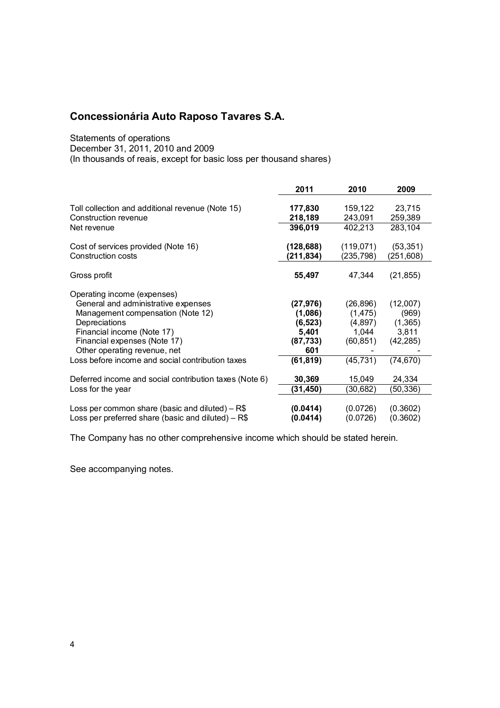Statements of operations

December 31, 2011, 2010 and 2009

(In thousands of reais, except for basic loss per thousand shares)

|                                                                                                           | 2011                    | 2010                    | 2009                    |
|-----------------------------------------------------------------------------------------------------------|-------------------------|-------------------------|-------------------------|
| Toll collection and additional revenue (Note 15)<br>Construction revenue                                  | 177,830<br>218,189      | 159,122<br>243,091      | 23,715<br>259,389       |
| Net revenue                                                                                               | 396,019                 | 402,213                 | 283,104                 |
| Cost of services provided (Note 16)<br>Construction costs                                                 | (128, 688)<br>(211,834) | (119, 071)<br>(235,798) | (53, 351)<br>(251, 608) |
| Gross profit                                                                                              | 55,497                  | 47,344                  | (21, 855)               |
| Operating income (expenses)                                                                               |                         |                         |                         |
| General and administrative expenses<br>Management compensation (Note 12)                                  | (27, 976)<br>(1,086)    | (26, 896)<br>(1, 475)   | (12,007)<br>(969)       |
| Depreciations                                                                                             | (6, 523)                | (4,897)                 | (1,365)                 |
| Financial income (Note 17)                                                                                | 5,401                   | 1,044                   | 3,811                   |
| Financial expenses (Note 17)<br>Other operating revenue, net                                              | (87, 733)<br>601        | (60, 851)               | (42, 285)               |
| Loss before income and social contribution taxes                                                          | (61,819)                | (45, 731)               | (74, 670)               |
| Deferred income and social contribution taxes (Note 6)                                                    | 30,369                  | 15,049                  | 24,334                  |
| Loss for the year                                                                                         | (31, 450)               | (30, 682)               | (50, 336)               |
| Loss per common share (basic and diluted) $-$ R\$<br>Loss per preferred share (basic and diluted) $-$ R\$ | (0.0414)<br>(0.0414)    | (0.0726)<br>(0.0726)    | (0.3602)<br>(0.3602)    |

The Company has no other comprehensive income which should be stated herein.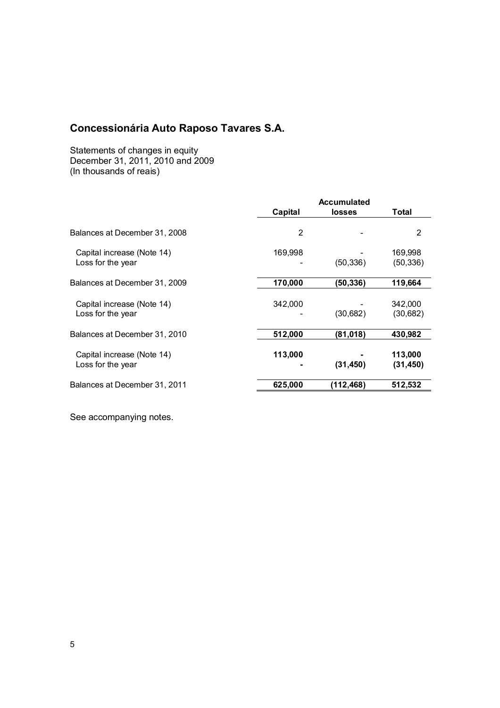Statements of changes in equity December 31, 2011, 2010 and 2009 (In thousands of reais)

| <b>Accumulated</b> |           |                      |
|--------------------|-----------|----------------------|
| Capital            | losses    | Total                |
| 2                  |           | 2                    |
| 169,998            | (50, 336) | 169,998<br>(50, 336) |
| 170,000            | (50,336)  | 119,664              |
| 342,000            | (30,682)  | 342,000<br>(30,682)  |
| 512,000            | (81, 018) | 430,982              |
| 113,000            | (31, 450) | 113,000<br>(31, 450) |
| 625,000            | (112,468) | 512,532              |
|                    |           |                      |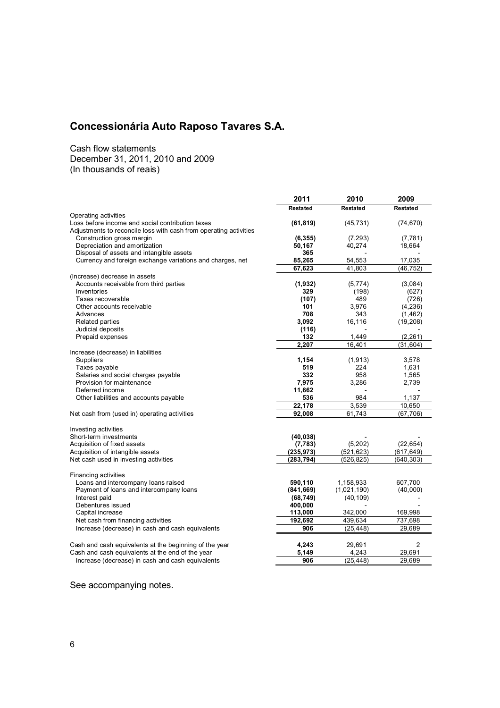Cash flow statements December 31, 2011, 2010 and 2009 (In thousands of reais)

|                                                                   | 2011            | 2010         | 2009             |
|-------------------------------------------------------------------|-----------------|--------------|------------------|
|                                                                   | <b>Restated</b> | Restated     | <b>Restated</b>  |
| Operating activities                                              |                 |              |                  |
| Loss before income and social contribution taxes                  | (61, 819)       | (45, 731)    | (74, 670)        |
| Adjustments to reconcile loss with cash from operating activities |                 |              |                  |
| Construction gross margin                                         | (6, 355)        | (7, 293)     | (7, 781)         |
| Depreciation and amortization                                     | 50,167          | 40,274       | 18,664           |
| Disposal of assets and intangible assets                          | 365             |              |                  |
| Currency and foreign exchange variations and charges, net         | 85,265          | 54,553       | 17,035           |
|                                                                   | 67,623          | 41.803       | (46, 752)        |
| (Increase) decrease in assets                                     |                 |              |                  |
| Accounts receivable from third parties                            | (1, 932)        | (5,774)      | (3,084)          |
| Inventories                                                       | 329             | (198)<br>489 | (627)            |
| Taxes recoverable<br>Other accounts receivable                    | (107)<br>101    | 3,976        | (726)<br>(4,236) |
| Advances                                                          | 708             | 343          | (1, 462)         |
| <b>Related parties</b>                                            | 3.092           | 16,116       | (19, 208)        |
| Judicial deposits                                                 | (116)           |              |                  |
| Prepaid expenses                                                  | 132             | 1,449        | (2, 261)         |
|                                                                   | 2,207           | 16,401       | (31, 604)        |
| Increase (decrease) in liabilities                                |                 |              |                  |
| Suppliers                                                         | 1,154           | (1, 913)     | 3,578            |
| Taxes payable                                                     | 519             | 224          | 1,631            |
| Salaries and social charges payable                               | 332             | 958          | 1,565            |
| Provision for maintenance                                         | 7,975           | 3,286        | 2,739            |
| Deferred income                                                   | 11,662          |              |                  |
| Other liabilities and accounts payable                            | 536             | 984          | 1,137            |
|                                                                   | 22,178          | 3,539        | 10,650           |
| Net cash from (used in) operating activities                      | 92,008          | 61.743       | (67, 706)        |
|                                                                   |                 |              |                  |
| Investing activities                                              |                 |              |                  |
| Short-term investments                                            | (40, 038)       |              |                  |
| Acquisition of fixed assets                                       | (7, 783)        | (5,202)      | (22, 654)        |
| Acquisition of intangible assets                                  | (235, 973)      | (521, 623)   | (617, 649)       |
| Net cash used in investing activities                             | (283, 794)      | (526, 825)   | (640, 303)       |
|                                                                   |                 |              |                  |
| Financing activities                                              |                 |              |                  |
| Loans and intercompany loans raised                               | 590,110         | 1,158,933    | 607,700          |
| Payment of loans and intercompany loans                           | (841, 669)      | (1,021,190)  | (40,000)         |
| Interest paid                                                     | (68, 749)       | (40, 109)    |                  |
| Debentures issued                                                 | 400,000         |              |                  |
| Capital increase                                                  | 113,000         | 342,000      | 169,998          |
| Net cash from financing activities                                | 192,692         | 439,634      | 737,698          |
| Increase (decrease) in cash and cash equivalents                  | 906             | (25, 448)    | 29,689           |
|                                                                   |                 |              |                  |
| Cash and cash equivalents at the beginning of the year            | 4,243           | 29,691       | $\overline{c}$   |
| Cash and cash equivalents at the end of the year                  | 5,149           | 4,243        | 29,691           |
| Increase (decrease) in cash and cash equivalents                  | 906             | (25, 448)    | 29,689           |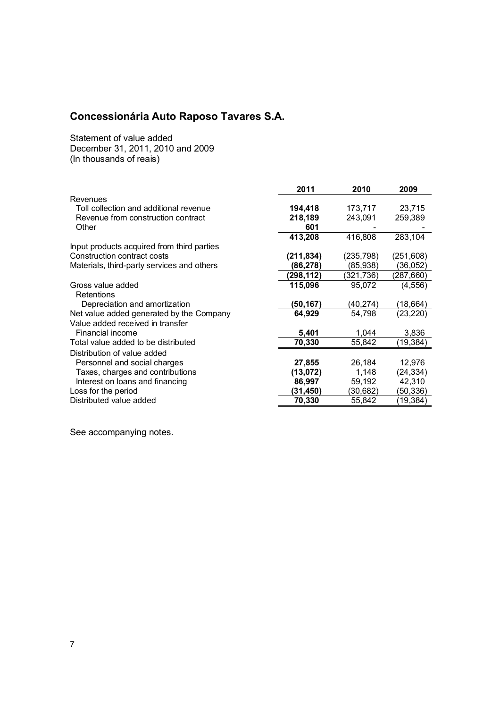Statement of value added December 31, 2011, 2010 and 2009 (In thousands of reais)

| 2011       | 2010      | 2009       |
|------------|-----------|------------|
|            |           |            |
| 194,418    | 173,717   | 23,715     |
| 218,189    | 243,091   | 259,389    |
| 601        |           |            |
| 413,208    | 416,808   | 283,104    |
|            |           |            |
| (211, 834) | (235,798) | (251, 608) |
| (86, 278)  | (85,938)  | (36, 052)  |
| (298,112)  | (321,736) | (287,660)  |
| 115,096    | 95,072    | (4, 556)   |
|            |           |            |
| (50,167)   | (40,274)  | (18, 664)  |
| 64,929     | 54,798    | (23, 220)  |
|            |           |            |
| 5,401      | 1,044     | 3,836      |
| 70,330     | 55,842    | (19,384)   |
|            |           |            |
|            | 26,184    | 12,976     |
| (13,072)   | 1,148     | (24, 334)  |
| 86,997     | 59,192    | 42,310     |
| (31,450)   | (30,682)  | (50,336)   |
| 70,330     | 55,842    | (19, 384)  |
|            | 27,855    |            |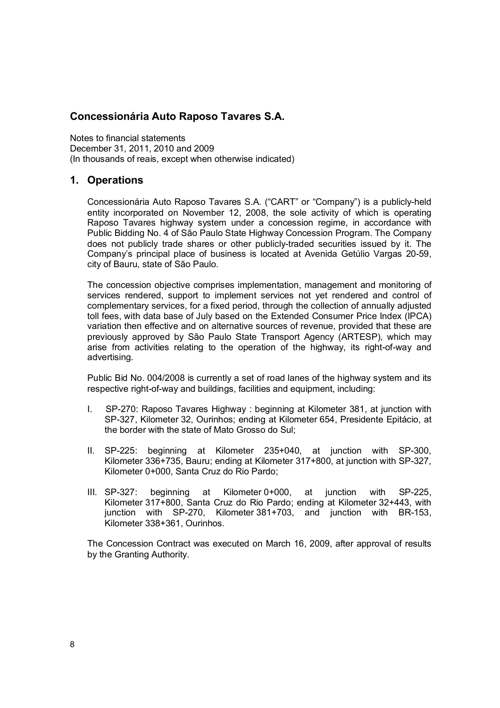Notes to financial statements December 31, 2011, 2010 and 2009 (In thousands of reais, except when otherwise indicated)

### **1. Operations**

Concessionária Auto Raposo Tavares S.A. ("CART" or "Company") is a publicly-held entity incorporated on November 12, 2008, the sole activity of which is operating Raposo Tavares highway system under a concession regime, in accordance with Public Bidding No. 4 of São Paulo State Highway Concession Program. The Company does not publicly trade shares or other publicly-traded securities issued by it. The Company's principal place of business is located at Avenida Getúlio Vargas 20-59, city of Bauru, state of São Paulo.

The concession objective comprises implementation, management and monitoring of services rendered, support to implement services not yet rendered and control of complementary services, for a fixed period, through the collection of annually adjusted toll fees, with data base of July based on the Extended Consumer Price Index (IPCA) variation then effective and on alternative sources of revenue, provided that these are previously approved by São Paulo State Transport Agency (ARTESP), which may arise from activities relating to the operation of the highway, its right-of-way and advertising.

Public Bid No. 004/2008 is currently a set of road lanes of the highway system and its respective right-of-way and buildings, facilities and equipment, including:

- I. SP-270: Raposo Tavares Highway : beginning at Kilometer 381, at junction with SP-327, Kilometer 32, Ourinhos; ending at Kilometer 654, Presidente Epitácio, at the border with the state of Mato Grosso do Sul;
- II. SP-225: beginning at Kilometer 235+040, at junction with SP-300, Kilometer 336+735, Bauru; ending at Kilometer 317+800, at junction with SP-327, Kilometer 0+000, Santa Cruz do Rio Pardo;
- III. SP-327: beginning at Kilometer 0+000, at junction with SP-225, Kilometer 317+800, Santa Cruz do Rio Pardo; ending at Kilometer 32+443, with junction with SP-270, Kilometer 381+703, and junction with BR-153, Kilometer 338+361, Ourinhos.

The Concession Contract was executed on March 16, 2009, after approval of results by the Granting Authority.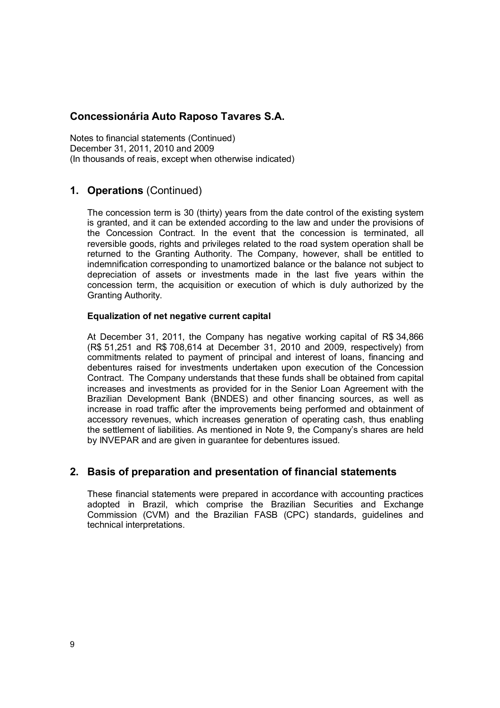Notes to financial statements (Continued) December 31, 2011, 2010 and 2009 (In thousands of reais, except when otherwise indicated)

## **1. Operations** (Continued)

The concession term is 30 (thirty) years from the date control of the existing system is granted, and it can be extended according to the law and under the provisions of the Concession Contract. In the event that the concession is terminated, all reversible goods, rights and privileges related to the road system operation shall be returned to the Granting Authority. The Company, however, shall be entitled to indemnification corresponding to unamortized balance or the balance not subject to depreciation of assets or investments made in the last five years within the concession term, the acquisition or execution of which is duly authorized by the Granting Authority.

#### **Equalization of net negative current capital**

At December 31, 2011, the Company has negative working capital of R\$ 34,866 (R\$ 51,251 and R\$ 708,614 at December 31, 2010 and 2009, respectively) from commitments related to payment of principal and interest of loans, financing and debentures raised for investments undertaken upon execution of the Concession Contract. The Company understands that these funds shall be obtained from capital increases and investments as provided for in the Senior Loan Agreement with the Brazilian Development Bank (BNDES) and other financing sources, as well as increase in road traffic after the improvements being performed and obtainment of accessory revenues, which increases generation of operating cash, thus enabling the settlement of liabilities. As mentioned in Note 9, the Company's shares are held by INVEPAR and are given in guarantee for debentures issued.

## **2. Basis of preparation and presentation of financial statements**

These financial statements were prepared in accordance with accounting practices adopted in Brazil, which comprise the Brazilian Securities and Exchange Commission (CVM) and the Brazilian FASB (CPC) standards, guidelines and technical interpretations.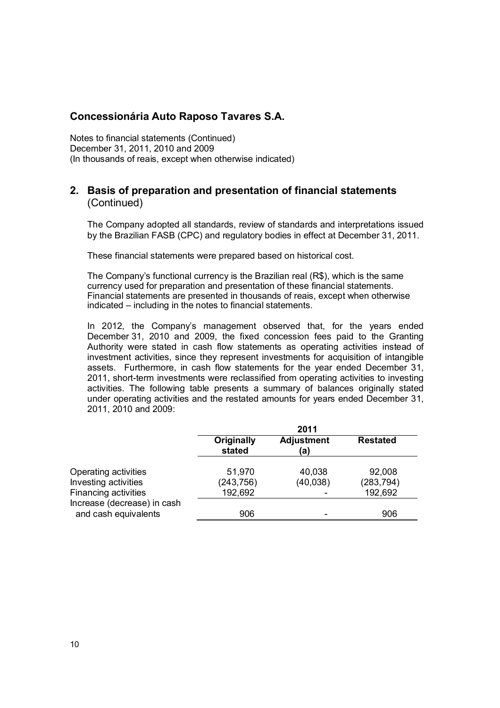Notes to financial statements (Continued) December 31, 2011, 2010 and 2009 (In thousands of reais, except when otherwise indicated)

## **2. Basis of preparation and presentation of financial statements**  (Continued)

The Company adopted all standards, review of standards and interpretations issued by the Brazilian FASB (CPC) and regulatory bodies in effect at December 31, 2011.

These financial statements were prepared based on historical cost.

The Company's functional currency is the Brazilian real (R\$), which is the same currency used for preparation and presentation of these financial statements. Financial statements are presented in thousands of reais, except when otherwise indicated – including in the notes to financial statements.

In 2012, the Company's management observed that, for the years ended December 31, 2010 and 2009, the fixed concession fees paid to the Granting Authority were stated in cash flow statements as operating activities instead of investment activities, since they represent investments for acquisition of intangible assets. Furthermore, in cash flow statements for the year ended December 31, 2011, short-term investments were reclassified from operating activities to investing activities. The following table presents a summary of balances originally stated under operating activities and the restated amounts for years ended December 31, 2011, 2010 and 2009:

|                                                     |                             | 2011                     |                 |
|-----------------------------------------------------|-----------------------------|--------------------------|-----------------|
|                                                     | <b>Originally</b><br>stated | <b>Adjustment</b><br>(a) | <b>Restated</b> |
| Operating activities                                | 51,970                      | 40,038                   | 92,008          |
| Investing activities                                | (243, 756)                  | (40, 038)                | (283, 794)      |
| <b>Financing activities</b>                         | 192,692                     |                          | 192,692         |
| Increase (decrease) in cash<br>and cash equivalents | 906                         |                          | 906             |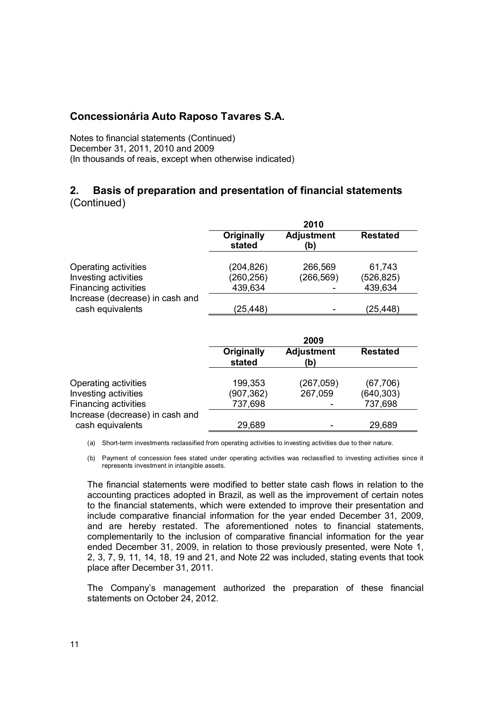Notes to financial statements (Continued) December 31, 2011, 2010 and 2009 (In thousands of reais, except when otherwise indicated)

## **2. Basis of preparation and presentation of financial statements**  (Continued)

|                                 |                      | 2010                     |                 |
|---------------------------------|----------------------|--------------------------|-----------------|
|                                 | Originally<br>stated | <b>Adjustment</b><br>(b) | <b>Restated</b> |
|                                 |                      |                          |                 |
| Operating activities            | (204, 826)           | 266,569                  | 61,743          |
| Investing activities            | (260, 256)           | (266, 569)               | (526, 825)      |
| Financing activities            | 439,634              |                          | 439,634         |
| Increase (decrease) in cash and |                      |                          |                 |
| cash equivalents                | (25, 448)            |                          | (25,448)        |

|                                                     |                      | 2009                     |                 |
|-----------------------------------------------------|----------------------|--------------------------|-----------------|
|                                                     | Originally<br>stated | <b>Adjustment</b><br>(b) | <b>Restated</b> |
| Operating activities                                | 199,353              | (267,059)                | (67, 706)       |
| Investing activities                                | (907,362)            | 267,059                  | (640, 303)      |
| Financing activities                                | 737,698              |                          | 737,698         |
| Increase (decrease) in cash and<br>cash equivalents | 29,689               |                          | 29,689          |

(a) Short-term investments reclassified from operating activities to investing activities due to their nature.

(b) Payment of concession fees stated under operating activities was reclassified to investing activities since it represents investment in intangible assets.

The financial statements were modified to better state cash flows in relation to the accounting practices adopted in Brazil, as well as the improvement of certain notes to the financial statements, which were extended to improve their presentation and include comparative financial information for the year ended December 31, 2009, and are hereby restated. The aforementioned notes to financial statements, complementarily to the inclusion of comparative financial information for the year ended December 31, 2009, in relation to those previously presented, were Note 1, 2, 3, 7, 9, 11, 14, 18, 19 and 21, and Note 22 was included, stating events that took place after December 31, 2011.

The Company's management authorized the preparation of these financial statements on October 24, 2012.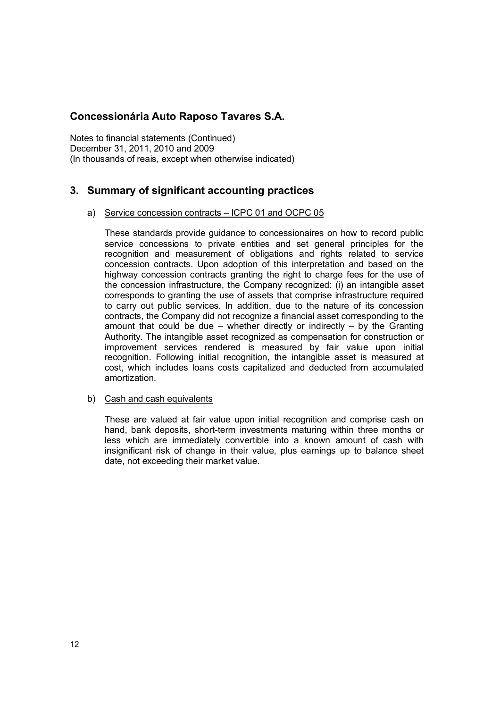Notes to financial statements (Continued) December 31, 2011, 2010 and 2009 (In thousands of reais, except when otherwise indicated)

## **3. Summary of significant accounting practices**

#### a) Service concession contracts – ICPC 01 and OCPC 05

These standards provide guidance to concessionaires on how to record public service concessions to private entities and set general principles for the recognition and measurement of obligations and rights related to service concession contracts. Upon adoption of this interpretation and based on the highway concession contracts granting the right to charge fees for the use of the concession infrastructure, the Company recognized: (i) an intangible asset corresponds to granting the use of assets that comprise infrastructure required to carry out public services. In addition, due to the nature of its concession contracts, the Company did not recognize a financial asset corresponding to the amount that could be due – whether directly or indirectly – by the Granting Authority. The intangible asset recognized as compensation for construction or improvement services rendered is measured by fair value upon initial recognition. Following initial recognition, the intangible asset is measured at cost, which includes loans costs capitalized and deducted from accumulated amortization.

#### b) Cash and cash equivalents

These are valued at fair value upon initial recognition and comprise cash on hand, bank deposits, short-term investments maturing within three months or less which are immediately convertible into a known amount of cash with insignificant risk of change in their value, plus earnings up to balance sheet date, not exceeding their market value.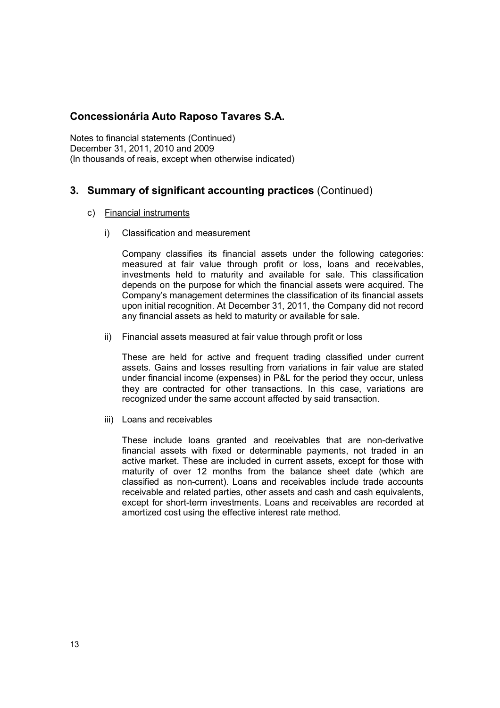Notes to financial statements (Continued) December 31, 2011, 2010 and 2009 (In thousands of reais, except when otherwise indicated)

## **3. Summary of significant accounting practices** (Continued)

- c) Financial instruments
	- i) Classification and measurement

Company classifies its financial assets under the following categories: measured at fair value through profit or loss, loans and receivables, investments held to maturity and available for sale. This classification depends on the purpose for which the financial assets were acquired. The Company's management determines the classification of its financial assets upon initial recognition. At December 31, 2011, the Company did not record any financial assets as held to maturity or available for sale.

ii) Financial assets measured at fair value through profit or loss

These are held for active and frequent trading classified under current assets. Gains and losses resulting from variations in fair value are stated under financial income (expenses) in P&L for the period they occur, unless they are contracted for other transactions. In this case, variations are recognized under the same account affected by said transaction.

iii) Loans and receivables

These include loans granted and receivables that are non-derivative financial assets with fixed or determinable payments, not traded in an active market. These are included in current assets, except for those with maturity of over 12 months from the balance sheet date (which are classified as non-current). Loans and receivables include trade accounts receivable and related parties, other assets and cash and cash equivalents, except for short-term investments. Loans and receivables are recorded at amortized cost using the effective interest rate method.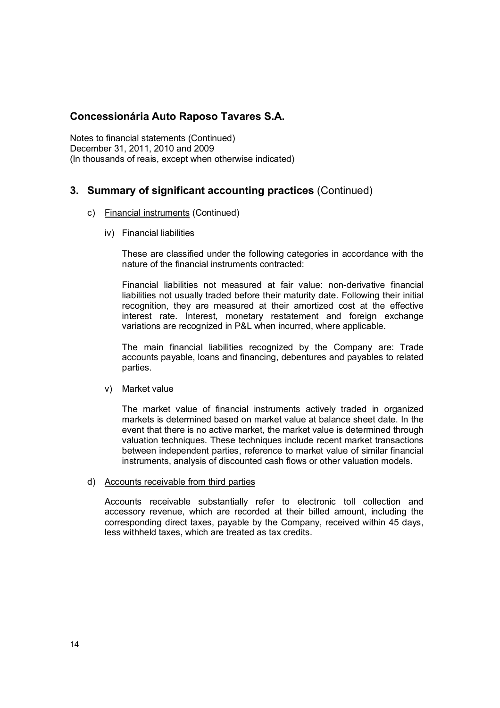Notes to financial statements (Continued) December 31, 2011, 2010 and 2009 (In thousands of reais, except when otherwise indicated)

## **3. Summary of significant accounting practices** (Continued)

- c) Financial instruments (Continued)
	- iv) Financial liabilities

These are classified under the following categories in accordance with the nature of the financial instruments contracted:

Financial liabilities not measured at fair value: non-derivative financial liabilities not usually traded before their maturity date. Following their initial recognition, they are measured at their amortized cost at the effective interest rate. Interest, monetary restatement and foreign exchange variations are recognized in P&L when incurred, where applicable.

The main financial liabilities recognized by the Company are: Trade accounts payable, loans and financing, debentures and payables to related parties.

v) Market value

The market value of financial instruments actively traded in organized markets is determined based on market value at balance sheet date. In the event that there is no active market, the market value is determined through valuation techniques. These techniques include recent market transactions between independent parties, reference to market value of similar financial instruments, analysis of discounted cash flows or other valuation models.

d) Accounts receivable from third parties

Accounts receivable substantially refer to electronic toll collection and accessory revenue, which are recorded at their billed amount, including the corresponding direct taxes, payable by the Company, received within 45 days, less withheld taxes, which are treated as tax credits.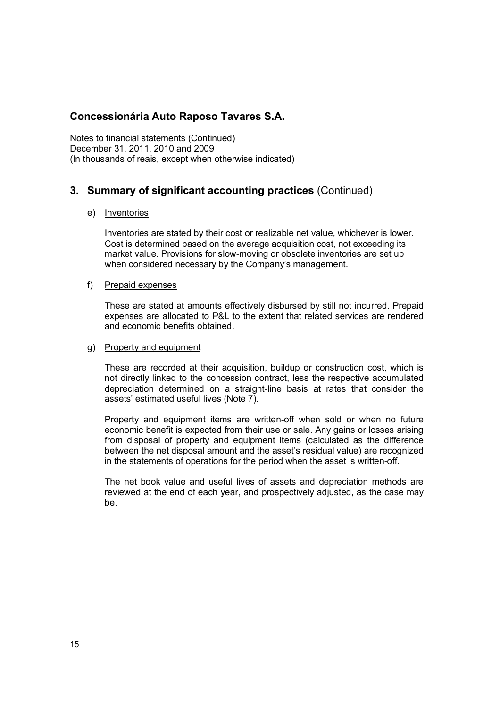Notes to financial statements (Continued) December 31, 2011, 2010 and 2009 (In thousands of reais, except when otherwise indicated)

## **3. Summary of significant accounting practices** (Continued)

#### e) Inventories

Inventories are stated by their cost or realizable net value, whichever is lower. Cost is determined based on the average acquisition cost, not exceeding its market value. Provisions for slow-moving or obsolete inventories are set up when considered necessary by the Company's management.

#### f) Prepaid expenses

These are stated at amounts effectively disbursed by still not incurred. Prepaid expenses are allocated to P&L to the extent that related services are rendered and economic benefits obtained.

#### g) Property and equipment

These are recorded at their acquisition, buildup or construction cost, which is not directly linked to the concession contract, less the respective accumulated depreciation determined on a straight-line basis at rates that consider the assets' estimated useful lives (Note 7).

Property and equipment items are written-off when sold or when no future economic benefit is expected from their use or sale. Any gains or losses arising from disposal of property and equipment items (calculated as the difference between the net disposal amount and the asset's residual value) are recognized in the statements of operations for the period when the asset is written-off.

The net book value and useful lives of assets and depreciation methods are reviewed at the end of each year, and prospectively adjusted, as the case may be.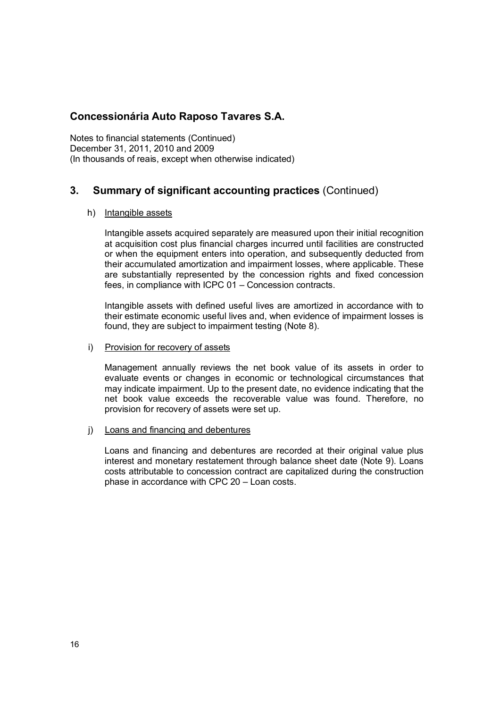Notes to financial statements (Continued) December 31, 2011, 2010 and 2009 (In thousands of reais, except when otherwise indicated)

## **3. Summary of significant accounting practices** (Continued)

#### h) Intangible assets

Intangible assets acquired separately are measured upon their initial recognition at acquisition cost plus financial charges incurred until facilities are constructed or when the equipment enters into operation, and subsequently deducted from their accumulated amortization and impairment losses, where applicable. These are substantially represented by the concession rights and fixed concession fees, in compliance with ICPC 01 – Concession contracts.

Intangible assets with defined useful lives are amortized in accordance with to their estimate economic useful lives and, when evidence of impairment losses is found, they are subject to impairment testing (Note 8).

#### i) Provision for recovery of assets

Management annually reviews the net book value of its assets in order to evaluate events or changes in economic or technological circumstances that may indicate impairment. Up to the present date, no evidence indicating that the net book value exceeds the recoverable value was found. Therefore, no provision for recovery of assets were set up.

#### j) Loans and financing and debentures

Loans and financing and debentures are recorded at their original value plus interest and monetary restatement through balance sheet date (Note 9). Loans costs attributable to concession contract are capitalized during the construction phase in accordance with CPC 20 – Loan costs.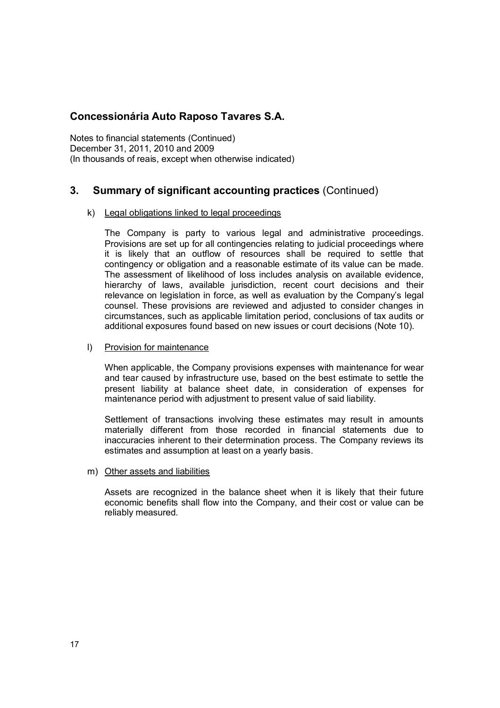Notes to financial statements (Continued) December 31, 2011, 2010 and 2009 (In thousands of reais, except when otherwise indicated)

## **3. Summary of significant accounting practices** (Continued)

#### k) Legal obligations linked to legal proceedings

The Company is party to various legal and administrative proceedings. Provisions are set up for all contingencies relating to judicial proceedings where it is likely that an outflow of resources shall be required to settle that contingency or obligation and a reasonable estimate of its value can be made. The assessment of likelihood of loss includes analysis on available evidence, hierarchy of laws, available jurisdiction, recent court decisions and their relevance on legislation in force, as well as evaluation by the Company's legal counsel. These provisions are reviewed and adjusted to consider changes in circumstances, such as applicable limitation period, conclusions of tax audits or additional exposures found based on new issues or court decisions (Note 10).

l) Provision for maintenance

When applicable, the Company provisions expenses with maintenance for wear and tear caused by infrastructure use, based on the best estimate to settle the present liability at balance sheet date, in consideration of expenses for maintenance period with adjustment to present value of said liability.

Settlement of transactions involving these estimates may result in amounts materially different from those recorded in financial statements due to inaccuracies inherent to their determination process. The Company reviews its estimates and assumption at least on a yearly basis.

m) Other assets and liabilities

Assets are recognized in the balance sheet when it is likely that their future economic benefits shall flow into the Company, and their cost or value can be reliably measured.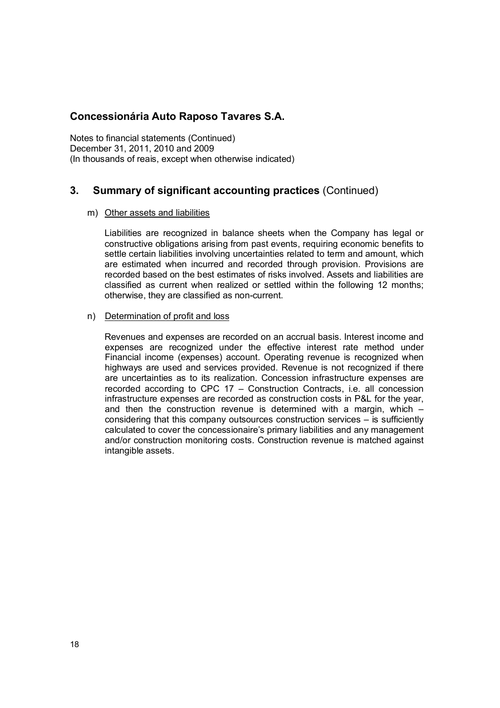Notes to financial statements (Continued) December 31, 2011, 2010 and 2009 (In thousands of reais, except when otherwise indicated)

## **3. Summary of significant accounting practices** (Continued)

#### m) Other assets and liabilities

Liabilities are recognized in balance sheets when the Company has legal or constructive obligations arising from past events, requiring economic benefits to settle certain liabilities involving uncertainties related to term and amount, which are estimated when incurred and recorded through provision. Provisions are recorded based on the best estimates of risks involved. Assets and liabilities are classified as current when realized or settled within the following 12 months; otherwise, they are classified as non-current.

#### n) Determination of profit and loss

Revenues and expenses are recorded on an accrual basis. Interest income and expenses are recognized under the effective interest rate method under Financial income (expenses) account. Operating revenue is recognized when highways are used and services provided. Revenue is not recognized if there are uncertainties as to its realization. Concession infrastructure expenses are recorded according to CPC 17 – Construction Contracts, i.e. all concession infrastructure expenses are recorded as construction costs in P&L for the year, and then the construction revenue is determined with a margin, which – considering that this company outsources construction services – is sufficiently calculated to cover the concessionaire's primary liabilities and any management and/or construction monitoring costs. Construction revenue is matched against intangible assets.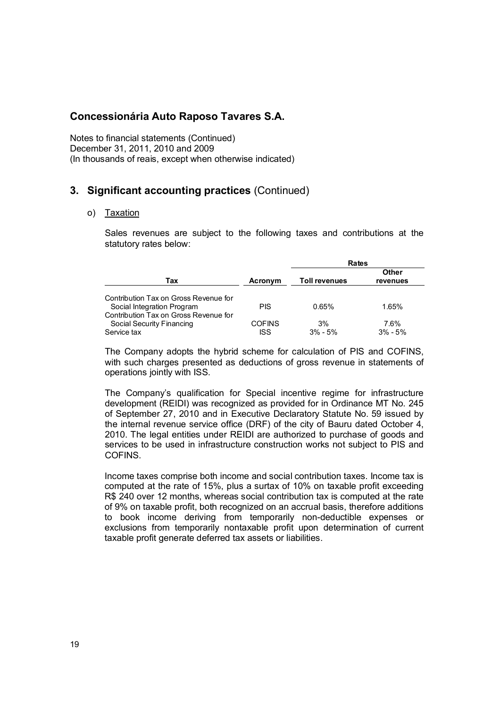Notes to financial statements (Continued) December 31, 2011, 2010 and 2009 (In thousands of reais, except when otherwise indicated)

## **3. Significant accounting practices** (Continued)

#### o) Taxation

Sales revenues are subject to the following taxes and contributions at the statutory rates below:

|                                                                     |               | Rates                |                          |  |  |  |
|---------------------------------------------------------------------|---------------|----------------------|--------------------------|--|--|--|
| Tax                                                                 | Acronym       | <b>Toll revenues</b> | <b>Other</b><br>revenues |  |  |  |
| Contribution Tax on Gross Revenue for<br>Social Integration Program | <b>PIS</b>    | 0.65%                | 1.65%                    |  |  |  |
| Contribution Tax on Gross Revenue for<br>Social Security Financing  | <b>COFINS</b> | 3%                   | 7.6%                     |  |  |  |
| Service tax                                                         | <b>ISS</b>    | $3\% - 5\%$          | $3\% - 5\%$              |  |  |  |

The Company adopts the hybrid scheme for calculation of PIS and COFINS, with such charges presented as deductions of gross revenue in statements of operations jointly with ISS.

The Company's qualification for Special incentive regime for infrastructure development (REIDI) was recognized as provided for in Ordinance MT No. 245 of September 27, 2010 and in Executive Declaratory Statute No. 59 issued by the internal revenue service office (DRF) of the city of Bauru dated October 4, 2010. The legal entities under REIDI are authorized to purchase of goods and services to be used in infrastructure construction works not subject to PIS and COFINS.

Income taxes comprise both income and social contribution taxes. Income tax is computed at the rate of 15%, plus a surtax of 10% on taxable profit exceeding R\$ 240 over 12 months, whereas social contribution tax is computed at the rate of 9% on taxable profit, both recognized on an accrual basis, therefore additions to book income deriving from temporarily non-deductible expenses or exclusions from temporarily nontaxable profit upon determination of current taxable profit generate deferred tax assets or liabilities.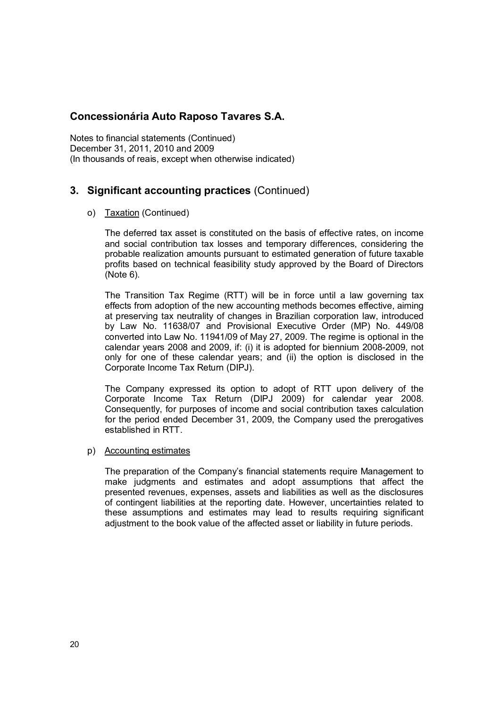Notes to financial statements (Continued) December 31, 2011, 2010 and 2009 (In thousands of reais, except when otherwise indicated)

## **3. Significant accounting practices** (Continued)

#### o) Taxation (Continued)

The deferred tax asset is constituted on the basis of effective rates, on income and social contribution tax losses and temporary differences, considering the probable realization amounts pursuant to estimated generation of future taxable profits based on technical feasibility study approved by the Board of Directors (Note 6).

The Transition Tax Regime (RTT) will be in force until a law governing tax effects from adoption of the new accounting methods becomes effective, aiming at preserving tax neutrality of changes in Brazilian corporation law, introduced by Law No. 11638/07 and Provisional Executive Order (MP) No. 449/08 converted into Law No. 11941/09 of May 27, 2009. The regime is optional in the calendar years 2008 and 2009, if: (i) it is adopted for biennium 2008-2009, not only for one of these calendar years; and (ii) the option is disclosed in the Corporate Income Tax Return (DIPJ).

The Company expressed its option to adopt of RTT upon delivery of the Corporate Income Tax Return (DIPJ 2009) for calendar year 2008. Consequently, for purposes of income and social contribution taxes calculation for the period ended December 31, 2009, the Company used the prerogatives established in RTT.

#### p) Accounting estimates

The preparation of the Company's financial statements require Management to make judgments and estimates and adopt assumptions that affect the presented revenues, expenses, assets and liabilities as well as the disclosures of contingent liabilities at the reporting date. However, uncertainties related to these assumptions and estimates may lead to results requiring significant adjustment to the book value of the affected asset or liability in future periods.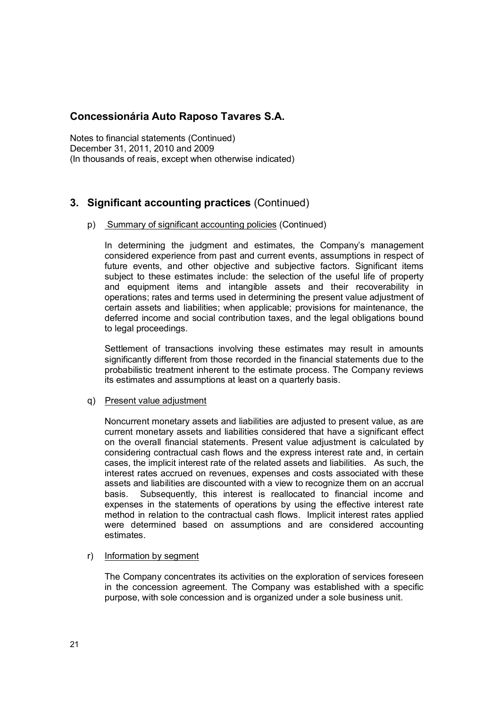Notes to financial statements (Continued) December 31, 2011, 2010 and 2009 (In thousands of reais, except when otherwise indicated)

## **3. Significant accounting practices** (Continued)

#### p) Summary of significant accounting policies (Continued)

In determining the judgment and estimates, the Company's management considered experience from past and current events, assumptions in respect of future events, and other objective and subjective factors. Significant items subject to these estimates include: the selection of the useful life of property and equipment items and intangible assets and their recoverability in operations; rates and terms used in determining the present value adjustment of certain assets and liabilities; when applicable; provisions for maintenance, the deferred income and social contribution taxes, and the legal obligations bound to legal proceedings.

Settlement of transactions involving these estimates may result in amounts significantly different from those recorded in the financial statements due to the probabilistic treatment inherent to the estimate process. The Company reviews its estimates and assumptions at least on a quarterly basis.

#### q) Present value adjustment

Noncurrent monetary assets and liabilities are adjusted to present value, as are current monetary assets and liabilities considered that have a significant effect on the overall financial statements. Present value adjustment is calculated by considering contractual cash flows and the express interest rate and, in certain cases, the implicit interest rate of the related assets and liabilities. As such, the interest rates accrued on revenues, expenses and costs associated with these assets and liabilities are discounted with a view to recognize them on an accrual basis. Subsequently, this interest is reallocated to financial income and expenses in the statements of operations by using the effective interest rate method in relation to the contractual cash flows. Implicit interest rates applied were determined based on assumptions and are considered accounting estimates.

#### r) Information by segment

The Company concentrates its activities on the exploration of services foreseen in the concession agreement. The Company was established with a specific purpose, with sole concession and is organized under a sole business unit.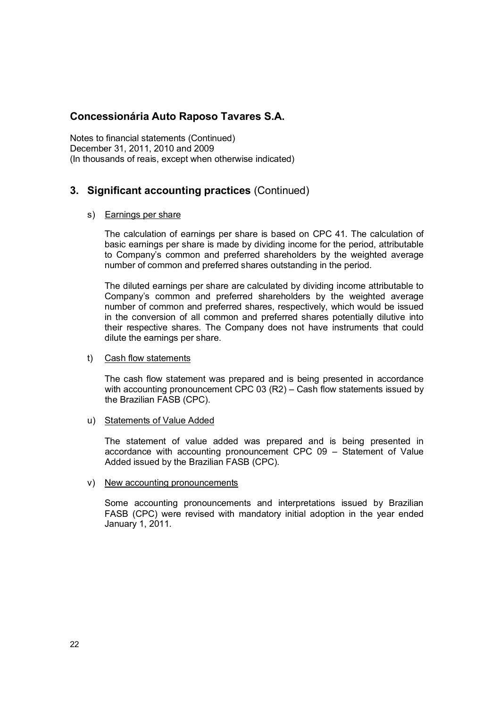Notes to financial statements (Continued) December 31, 2011, 2010 and 2009 (In thousands of reais, except when otherwise indicated)

## **3. Significant accounting practices** (Continued)

#### s) Earnings per share

The calculation of earnings per share is based on CPC 41. The calculation of basic earnings per share is made by dividing income for the period, attributable to Company's common and preferred shareholders by the weighted average number of common and preferred shares outstanding in the period.

The diluted earnings per share are calculated by dividing income attributable to Company's common and preferred shareholders by the weighted average number of common and preferred shares, respectively, which would be issued in the conversion of all common and preferred shares potentially dilutive into their respective shares. The Company does not have instruments that could dilute the earnings per share.

#### t) Cash flow statements

The cash flow statement was prepared and is being presented in accordance with accounting pronouncement CPC 03 (R2) – Cash flow statements issued by the Brazilian FASB (CPC).

u) Statements of Value Added

The statement of value added was prepared and is being presented in accordance with accounting pronouncement CPC 09 – Statement of Value Added issued by the Brazilian FASB (CPC).

#### v) New accounting pronouncements

Some accounting pronouncements and interpretations issued by Brazilian FASB (CPC) were revised with mandatory initial adoption in the year ended January 1, 2011.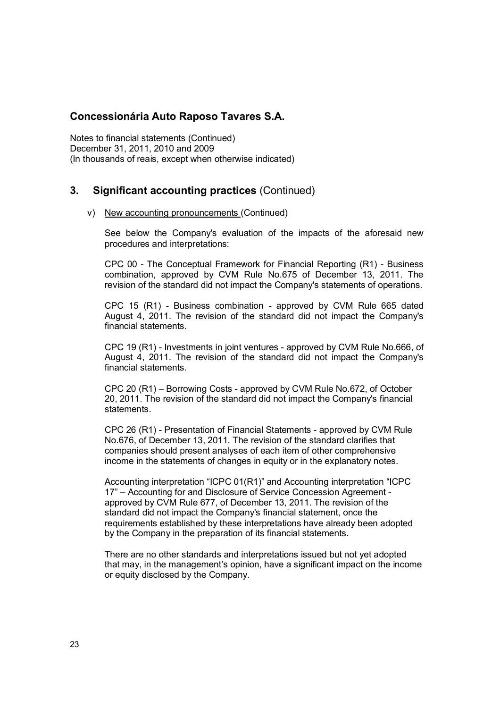Notes to financial statements (Continued) December 31, 2011, 2010 and 2009 (In thousands of reais, except when otherwise indicated)

## **3. Significant accounting practices** (Continued)

#### v) New accounting pronouncements (Continued)

See below the Company's evaluation of the impacts of the aforesaid new procedures and interpretations:

CPC 00 - The Conceptual Framework for Financial Reporting (R1) - Business combination, approved by CVM Rule No.675 of December 13, 2011. The revision of the standard did not impact the Company's statements of operations.

CPC 15 (R1) - Business combination - approved by CVM Rule 665 dated August 4, 2011. The revision of the standard did not impact the Company's financial statements.

CPC 19 (R1) - Investments in joint ventures - approved by CVM Rule No.666, of August 4, 2011. The revision of the standard did not impact the Company's financial statements.

CPC 20 (R1) – Borrowing Costs - approved by CVM Rule No.672, of October 20, 2011. The revision of the standard did not impact the Company's financial statements.

CPC 26 (R1) - Presentation of Financial Statements - approved by CVM Rule No.676, of December 13, 2011. The revision of the standard clarifies that companies should present analyses of each item of other comprehensive income in the statements of changes in equity or in the explanatory notes.

Accounting interpretation "ICPC 01(R1)" and Accounting interpretation "ICPC 17" – Accounting for and Disclosure of Service Concession Agreement approved by CVM Rule 677, of December 13, 2011. The revision of the standard did not impact the Company's financial statement, once the requirements established by these interpretations have already been adopted by the Company in the preparation of its financial statements.

There are no other standards and interpretations issued but not yet adopted that may, in the management's opinion, have a significant impact on the income or equity disclosed by the Company.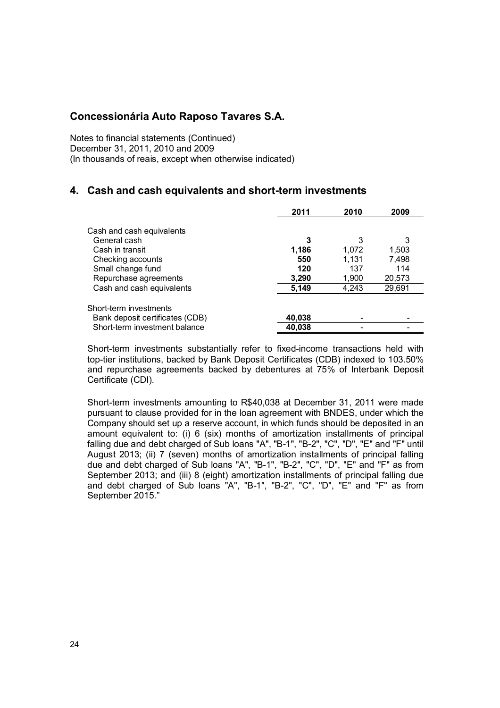Notes to financial statements (Continued) December 31, 2011, 2010 and 2009 (In thousands of reais, except when otherwise indicated)

## **4. Cash and cash equivalents and short-term investments**

|                                 | 2011   | 2010  | 2009   |
|---------------------------------|--------|-------|--------|
| Cash and cash equivalents       |        |       |        |
| General cash                    | 3      | 3     | 3      |
| Cash in transit                 | 1,186  | 1.072 | 1,503  |
| Checking accounts               | 550    | 1.131 | 7.498  |
| Small change fund               | 120    | 137   | 114    |
| Repurchase agreements           | 3,290  | 1,900 | 20,573 |
| Cash and cash equivalents       | 5,149  | 4,243 | 29,691 |
| Short-term investments          |        |       |        |
| Bank deposit certificates (CDB) | 40,038 |       |        |
| Short-term investment balance   | 40,038 |       |        |
|                                 |        |       |        |

Short-term investments substantially refer to fixed-income transactions held with top-tier institutions, backed by Bank Deposit Certificates (CDB) indexed to 103.50% and repurchase agreements backed by debentures at 75% of Interbank Deposit Certificate (CDI).

Short-term investments amounting to R\$40,038 at December 31, 2011 were made pursuant to clause provided for in the loan agreement with BNDES, under which the Company should set up a reserve account, in which funds should be deposited in an amount equivalent to: (i) 6 (six) months of amortization installments of principal falling due and debt charged of Sub loans "A", "B-1", "B-2", "C", "D", "E" and "F" until August 2013; (ii) 7 (seven) months of amortization installments of principal falling due and debt charged of Sub loans "A", "B-1", "B-2", "C", "D", "E" and "F" as from September 2013; and (iii) 8 (eight) amortization installments of principal falling due and debt charged of Sub loans "A", "B-1", "B-2", "C", "D", "E" and "F" as from September 2015."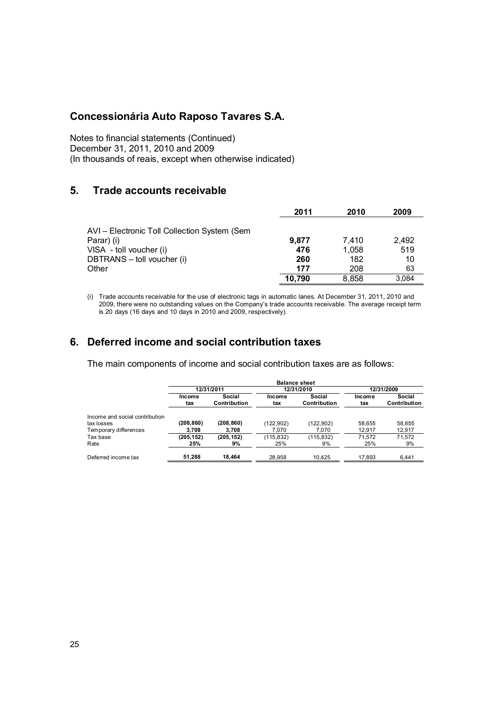Notes to financial statements (Continued) December 31, 2011, 2010 and 2009 (In thousands of reais, except when otherwise indicated)

## **5. Trade accounts receivable**

|                                              | 2011   | 2010  | 2009  |
|----------------------------------------------|--------|-------|-------|
| AVI - Electronic Toll Collection System (Sem |        |       |       |
| Parar) (i)                                   | 9.877  | 7.410 | 2.492 |
| VISA - toll voucher (i)                      | 476    | 1.058 | 519   |
| DBTRANS - toll voucher (i)                   | 260    | 182   | 10    |
| Other                                        | 177    | 208   | 63    |
|                                              | 10.790 | 8.858 | 3.084 |

(i) Trade accounts receivable for the use of electronic tags in automatic lanes. At December 31, 2011, 2010 and 2009, there were no outstanding values on the Company's trade accounts receivable. The average receipt term is 20 days (16 days and 10 days in 2010 and 2009, respectively).

## **6. Deferred income and social contribution taxes**

The main components of income and social contribution taxes are as follows:

|                                              | <b>Balance sheet</b> |                        |                   |                        |               |                        |  |
|----------------------------------------------|----------------------|------------------------|-------------------|------------------------|---------------|------------------------|--|
|                                              |                      | 12/31/2011             |                   | 12/31/2010             | 12/31/2009    |                        |  |
|                                              | Income<br>tax        | Social<br>Contribution | Income<br>tax     | Social<br>Contribution | Income<br>tax | Social<br>Contribution |  |
| Income and social contribution<br>tax losses | (208,860)            | (208, 860)             | (122, 902)        | (122,902)              | 58.655        | 58.655                 |  |
| Temporary differences                        | 3.708                | 3.708                  | 7.070             | 7.070                  | 12.917        | 12,917                 |  |
| Tax base<br>Rate                             | (205, 152)<br>25%    | (205, 152)<br>9%       | (115, 832)<br>25% | (115,832)<br>9%        | 71.572<br>25% | 71.572<br>9%           |  |
| Deferred income tax                          | 51,288               | 18.464                 | 28.958            | 10.425                 | 17.893        | 6.441                  |  |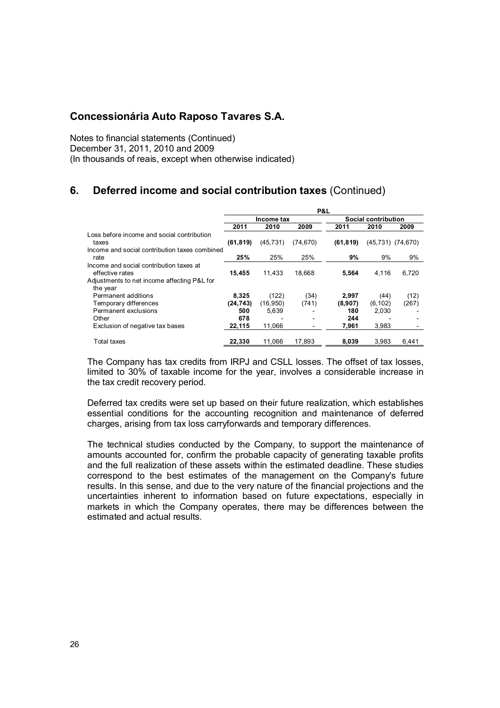Notes to financial statements (Continued) December 31, 2011, 2010 and 2009 (In thousands of reais, except when otherwise indicated)

## **6. Deferred income and social contribution taxes** (Continued)

|                                               | P&L       |            |           |                     |                       |       |
|-----------------------------------------------|-----------|------------|-----------|---------------------|-----------------------|-------|
|                                               |           | Income tax |           | Social contribution |                       |       |
|                                               | 2011      | 2010       | 2009      | 2011                | 2010                  | 2009  |
| Loss before income and social contribution    |           |            |           |                     |                       |       |
| taxes                                         | (61, 819) | (45, 731)  | (74, 670) | (61, 819)           | $(45,731)$ $(74,670)$ |       |
| Income and social contribution taxes combined |           |            |           |                     |                       |       |
| rate                                          | 25%       | 25%        | 25%       | 9%                  | 9%                    | 9%    |
| Income and social contribution taxes at       |           |            |           |                     |                       |       |
| effective rates                               | 15,455    | 11.433     | 18,668    | 5,564               | 4,116                 | 6,720 |
| Adjustments to net income affecting P&L for   |           |            |           |                     |                       |       |
| the year                                      |           |            |           |                     |                       |       |
| Permanent additions                           | 8,325     | (122)      | (34)      | 2,997               | (44)                  | (12)  |
| Temporary differences                         | (24, 743) | (16, 950)  | (741)     | (8,907)             | (6, 102)              | (267) |
| Permanent exclusions                          | 500       | 5,639      |           | 180                 | 2,030                 |       |
| Other                                         | 678       |            |           | 244                 |                       |       |
| Exclusion of negative tax bases               | 22,115    | 11,066     |           | 7,961               | 3,983                 |       |
| Total taxes                                   | 22.330    | 11.066     | 17.893    | 8.039               | 3.983                 | 6.441 |

The Company has tax credits from IRPJ and CSLL losses. The offset of tax losses, limited to 30% of taxable income for the year, involves a considerable increase in the tax credit recovery period.

Deferred tax credits were set up based on their future realization, which establishes essential conditions for the accounting recognition and maintenance of deferred charges, arising from tax loss carryforwards and temporary differences.

The technical studies conducted by the Company, to support the maintenance of amounts accounted for, confirm the probable capacity of generating taxable profits and the full realization of these assets within the estimated deadline. These studies correspond to the best estimates of the management on the Company's future results. In this sense, and due to the very nature of the financial projections and the uncertainties inherent to information based on future expectations, especially in markets in which the Company operates, there may be differences between the estimated and actual results.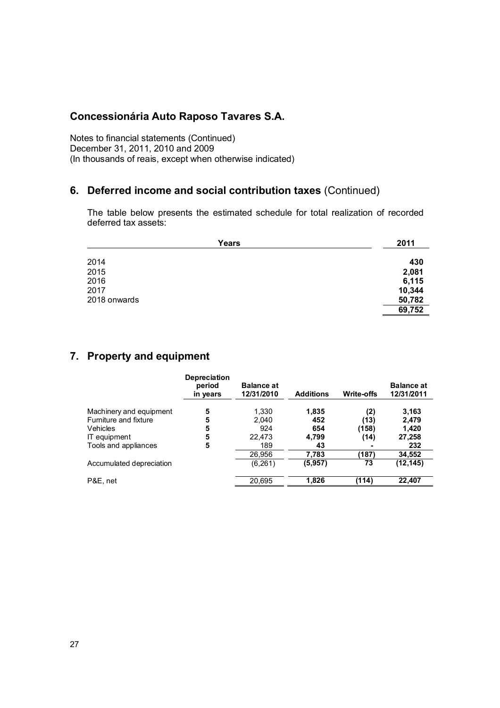Notes to financial statements (Continued) December 31, 2011, 2010 and 2009 (In thousands of reais, except when otherwise indicated)

## **6. Deferred income and social contribution taxes** (Continued)

The table below presents the estimated schedule for total realization of recorded deferred tax assets:

| Years        | 2011   |
|--------------|--------|
| 2014         | 430    |
| 2015         | 2,081  |
| 2016         | 6,115  |
| 2017         | 10,344 |
| 2018 onwards | 50,782 |
|              | 69,752 |

## **7. Property and equipment**

| <b>Depreciation</b><br>period<br>in years | <b>Balance at</b><br>12/31/2010 | <b>Additions</b> | Write-offs | <b>Balance at</b><br>12/31/2011 |
|-------------------------------------------|---------------------------------|------------------|------------|---------------------------------|
| 5                                         | 1.330                           | 1,835            | (2)        | 3,163                           |
| 5                                         | 2.040                           | 452              | (13)       | 2,479                           |
| 5                                         | 924                             | 654              | (158)      | 1,420                           |
| 5                                         | 22.473                          | 4,799            | (14)       | 27,258                          |
| 5                                         | 189                             | 43               |            | 232                             |
|                                           | 26,956                          | 7,783            | (187)      | 34,552                          |
|                                           | (6,261)                         | (5,957)          | 73         | (12, 145)                       |
|                                           | 20,695                          | 1.826            | (114)      | 22,407                          |
|                                           |                                 |                  |            |                                 |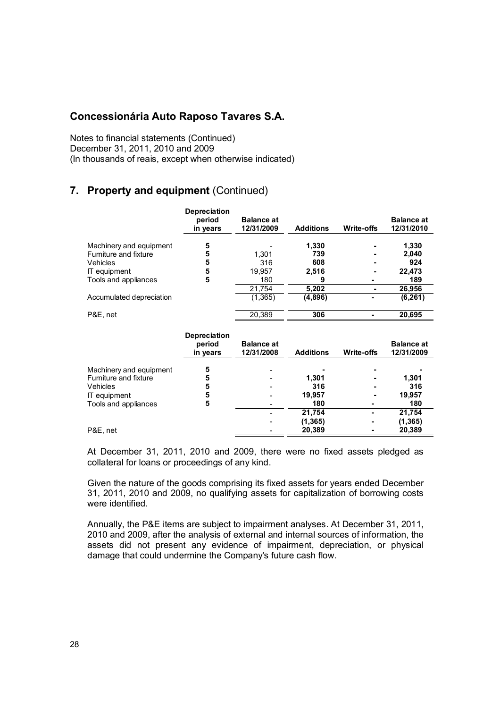Notes to financial statements (Continued) December 31, 2011, 2010 and 2009 (In thousands of reais, except when otherwise indicated)

## **7. Property and equipment** (Continued)

|                          | <b>Depreciation</b><br>period<br>in years | <b>Balance at</b><br>12/31/2009 | <b>Additions</b> | Write-offs | <b>Balance at</b><br>12/31/2010 |
|--------------------------|-------------------------------------------|---------------------------------|------------------|------------|---------------------------------|
| Machinery and equipment  | 5                                         |                                 | 1,330            |            | 1,330                           |
| Furniture and fixture    | 5                                         | 1.301                           | 739              |            | 2.040                           |
| Vehicles                 | 5                                         | 316                             | 608              |            | 924                             |
| IT equipment             | 5                                         | 19.957                          | 2,516            |            | 22,473                          |
| Tools and appliances     | 5                                         | 180                             | 9                |            | 189                             |
|                          |                                           | 21,754                          | 5,202            |            | 26,956                          |
| Accumulated depreciation |                                           | (1,365)                         | (4,896)          |            | (6, 261)                        |
| P&E, net                 |                                           | 20.389                          | 306              |            | 20,695                          |
|                          | <b>Depreciation</b>                       |                                 |                  |            |                                 |

|                         | <b>Depleciation</b><br>period<br>in years | <b>Balance at</b><br>12/31/2008 | <b>Additions</b> | Write-offs | <b>Balance at</b><br>12/31/2009 |
|-------------------------|-------------------------------------------|---------------------------------|------------------|------------|---------------------------------|
| Machinery and equipment | 5                                         |                                 |                  |            |                                 |
| Furniture and fixture   | 5                                         |                                 | 1.301            |            | 1.301                           |
| Vehicles                | 5                                         |                                 | 316              |            | 316                             |
| IT equipment            | 5                                         |                                 | 19,957           |            | 19.957                          |
| Tools and appliances    | 5                                         |                                 | 180              |            | 180                             |
|                         |                                           |                                 | 21,754           |            | 21,754                          |
|                         |                                           |                                 | (1,365)          |            | (1,365)                         |
| P&E, net                |                                           |                                 | 20,389           |            | 20,389                          |
|                         |                                           |                                 |                  |            |                                 |

At December 31, 2011, 2010 and 2009, there were no fixed assets pledged as collateral for loans or proceedings of any kind.

Given the nature of the goods comprising its fixed assets for years ended December 31, 2011, 2010 and 2009, no qualifying assets for capitalization of borrowing costs were identified.

Annually, the P&E items are subject to impairment analyses. At December 31, 2011, 2010 and 2009, after the analysis of external and internal sources of information, the assets did not present any evidence of impairment, depreciation, or physical damage that could undermine the Company's future cash flow.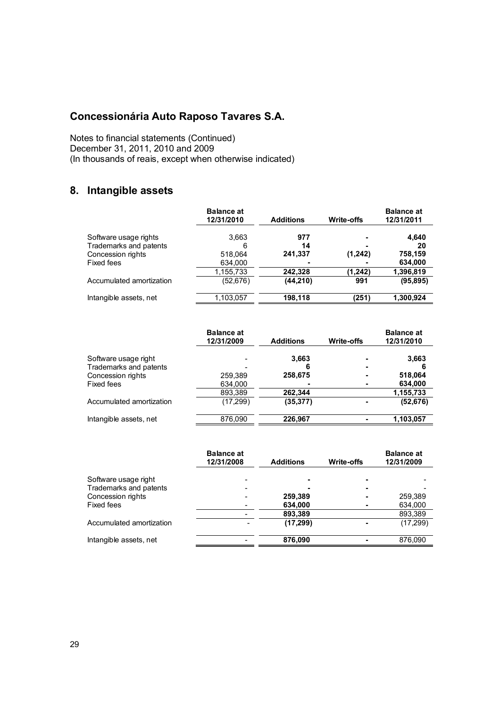Notes to financial statements (Continued) December 31, 2011, 2010 and 2009 (In thousands of reais, except when otherwise indicated)

## **8. Intangible assets**

|                          | <b>Balance at</b><br>12/31/2010 | <b>Additions</b> | <b>Write-offs</b> | <b>Balance at</b><br>12/31/2011 |
|--------------------------|---------------------------------|------------------|-------------------|---------------------------------|
| Software usage rights    | 3.663                           | 977              | ٠                 | 4,640                           |
| Trademarks and patents   | 6                               | 14               | -                 | 20                              |
| Concession rights        | 518,064                         | 241,337          | (1,242)           | 758,159                         |
| Fixed fees               | 634,000                         |                  |                   | 634,000                         |
|                          | 1,155,733                       | 242.328          | (1,242)           | 1,396,819                       |
| Accumulated amortization | (52, 676)                       | (44, 210)        | 991               | (95, 895)                       |
| Intangible assets, net   | 1,103,057                       | 198,118          | (251)             | 1,300,924                       |

|                          | <b>Balance at</b><br>12/31/2009 | <b>Additions</b> | <b>Write-offs</b> | <b>Balance at</b><br>12/31/2010 |
|--------------------------|---------------------------------|------------------|-------------------|---------------------------------|
| Software usage right     |                                 | 3,663            | ۰                 | 3,663                           |
| Trademarks and patents   |                                 | 6                | $\blacksquare$    | 6                               |
| Concession rights        | 259,389                         | 258,675          | $\blacksquare$    | 518,064                         |
| Fixed fees               | 634,000                         |                  | ٠                 | 634,000                         |
|                          | 893,389                         | 262.344          |                   | 1,155,733                       |
| Accumulated amortization | (17, 299)                       | (35, 377)        |                   | (52, 676)                       |
| Intangible assets, net   | 876,090                         | 226.967          |                   | 1,103,057                       |

|                                             | <b>Balance at</b><br>12/31/2008 | <b>Additions</b>     | Write-offs | <b>Balance at</b><br>12/31/2009 |
|---------------------------------------------|---------------------------------|----------------------|------------|---------------------------------|
| Software usage right                        |                                 |                      | -          |                                 |
| Trademarks and patents<br>Concession rights | -                               | 259,389              |            | 259,389                         |
| Fixed fees                                  |                                 | 634,000              |            | 634,000                         |
| Accumulated amortization                    |                                 | 893,389<br>(17, 299) |            | 893,389<br>(17, 299)            |
| Intangible assets, net                      |                                 | 876,090              |            | 876,090                         |
|                                             |                                 |                      |            |                                 |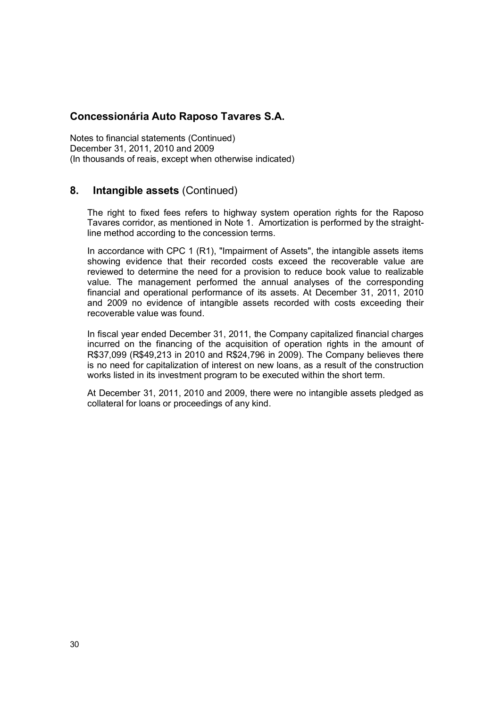Notes to financial statements (Continued) December 31, 2011, 2010 and 2009 (In thousands of reais, except when otherwise indicated)

## **8. Intangible assets** (Continued)

The right to fixed fees refers to highway system operation rights for the Raposo Tavares corridor, as mentioned in Note 1. Amortization is performed by the straightline method according to the concession terms.

In accordance with CPC 1 (R1), "Impairment of Assets", the intangible assets items showing evidence that their recorded costs exceed the recoverable value are reviewed to determine the need for a provision to reduce book value to realizable value. The management performed the annual analyses of the corresponding financial and operational performance of its assets. At December 31, 2011, 2010 and 2009 no evidence of intangible assets recorded with costs exceeding their recoverable value was found.

In fiscal year ended December 31, 2011, the Company capitalized financial charges incurred on the financing of the acquisition of operation rights in the amount of R\$37,099 (R\$49,213 in 2010 and R\$24,796 in 2009). The Company believes there is no need for capitalization of interest on new loans, as a result of the construction works listed in its investment program to be executed within the short term.

At December 31, 2011, 2010 and 2009, there were no intangible assets pledged as collateral for loans or proceedings of any kind.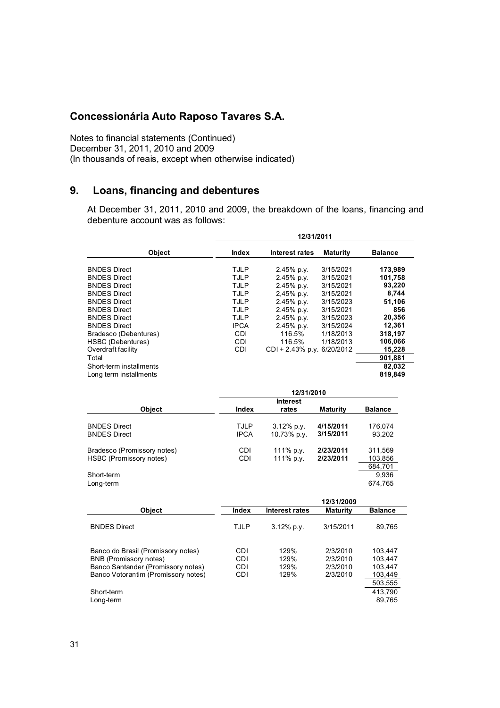Notes to financial statements (Continued) December 31, 2011, 2010 and 2009 (In thousands of reais, except when otherwise indicated)

## **9. Loans, financing and debentures**

At December 31, 2011, 2010 and 2009, the breakdown of the loans, financing and debenture account was as follows:

|                                     | 12/31/2011   |                            |                 |                |  |
|-------------------------------------|--------------|----------------------------|-----------------|----------------|--|
| Object                              | <b>Index</b> | Interest rates             | <b>Maturity</b> | <b>Balance</b> |  |
| <b>BNDES Direct</b>                 | TJLP         | 2.45% p.y.                 | 3/15/2021       | 173,989        |  |
| <b>BNDES Direct</b>                 | <b>TJLP</b>  | 2.45% p.v.                 | 3/15/2021       | 101,758        |  |
| <b>BNDES Direct</b>                 | TJLP         | 2.45% p.y.                 | 3/15/2021       | 93,220         |  |
| <b>BNDES Direct</b>                 | <b>TJLP</b>  | 2,45% p.y.                 | 3/15/2021       | 8,744          |  |
| <b>BNDES Direct</b>                 | <b>TJLP</b>  | 2.45% p.y.                 | 3/15/2023       | 51,106         |  |
| <b>BNDES Direct</b>                 | TJLP         | 2.45% p.y.                 | 3/15/2021       | 856            |  |
| <b>BNDES Direct</b>                 | TJLP         | 2.45% p.v.                 | 3/15/2023       | 20,356         |  |
| <b>BNDES Direct</b>                 | <b>IPCA</b>  | 2.45% p.y.                 | 3/15/2024       | 12,361         |  |
| Bradesco (Debentures)               | <b>CDI</b>   | 116.5%                     | 1/18/2013       | 318,197        |  |
| HSBC (Debentures)                   | CDI          | 116.5%                     | 1/18/2013       | 106,066        |  |
| Overdraft facility                  | <b>CDI</b>   | CDI + 2.43% p.y. 6/20/2012 |                 | 15,228         |  |
| Total                               |              |                            |                 | 901,881        |  |
| Short-term installments             |              |                            |                 | 82,032         |  |
| Long term installments              |              |                            |                 | 819,849        |  |
|                                     |              | 12/31/2010                 |                 |                |  |
|                                     |              | <b>Interest</b>            |                 |                |  |
| <b>Object</b>                       | Index        | rates                      | <b>Maturity</b> | <b>Balance</b> |  |
| <b>BNDES Direct</b>                 | TJLP         | $3.12%$ p.y.               | 4/15/2011       | 176,074        |  |
| <b>BNDES Direct</b>                 | <b>IPCA</b>  | 10.73% p.y.                | 3/15/2011       | 93,202         |  |
| Bradesco (Promissory notes)         | <b>CDI</b>   | 111% p.y.                  | 2/23/2011       | 311,569        |  |
| HSBC (Promissory notes)             | <b>CDI</b>   | 111% p.y.                  | 2/23/2011       | 103,856        |  |
|                                     |              |                            |                 | 684,701        |  |
| Short-term                          |              |                            |                 | 9,936          |  |
| Long-term                           |              |                            |                 | 674,765        |  |
|                                     |              |                            | 12/31/2009      |                |  |
| Object                              | Index        | <b>Interest rates</b>      | <b>Maturity</b> | <b>Balance</b> |  |
| <b>BNDES Direct</b>                 | TJLP         | $3.12\%$ p.y.              | 3/15/2011       | 89,765         |  |
| Banco do Brasil (Promissory notes)  | CDI.         | 129%                       | 2/3/2010        | 103,447        |  |
| <b>BNB</b> (Promissory notes)       | <b>CDI</b>   | 129%                       | 2/3/2010        | 103,447        |  |
| Banco Santander (Promissory notes)  | <b>CDI</b>   | 129%                       | 2/3/2010        | 103,447        |  |
| Banco Votorantim (Promissory notes) | <b>CDI</b>   | 129%                       | 2/3/2010        | 103,449        |  |
|                                     |              |                            |                 | 503,555        |  |
|                                     |              |                            |                 |                |  |
| Short-term                          |              |                            |                 | 413.790        |  |
| Long-term                           |              |                            |                 | 89,765         |  |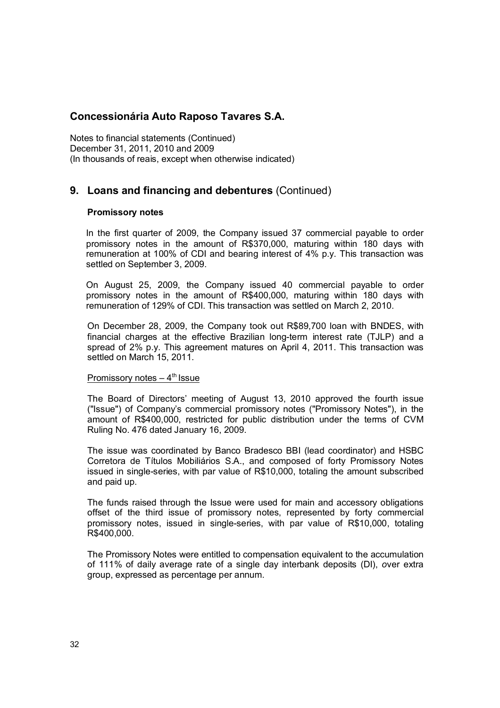Notes to financial statements (Continued) December 31, 2011, 2010 and 2009 (In thousands of reais, except when otherwise indicated)

## **9. Loans and financing and debentures** (Continued)

#### **Promissory notes**

In the first quarter of 2009, the Company issued 37 commercial payable to order promissory notes in the amount of R\$370,000, maturing within 180 days with remuneration at 100% of CDI and bearing interest of 4% p.y. This transaction was settled on September 3, 2009.

On August 25, 2009, the Company issued 40 commercial payable to order promissory notes in the amount of R\$400,000, maturing within 180 days with remuneration of 129% of CDI. This transaction was settled on March 2, 2010.

On December 28, 2009, the Company took out R\$89,700 loan with BNDES, with financial charges at the effective Brazilian long-term interest rate (TJLP) and a spread of 2% p.y. This agreement matures on April 4, 2011. This transaction was settled on March 15, 2011.

#### Promissory notes  $-4<sup>th</sup>$  Issue

The Board of Directors' meeting of August 13, 2010 approved the fourth issue ("Issue") of Company's commercial promissory notes ("Promissory Notes"), in the amount of R\$400,000, restricted for public distribution under the terms of CVM Ruling No. 476 dated January 16, 2009.

The issue was coordinated by Banco Bradesco BBI (lead coordinator) and HSBC Corretora de Títulos Mobiliários S.A., and composed of forty Promissory Notes issued in single-series, with par value of R\$10,000, totaling the amount subscribed and paid up.

The funds raised through the Issue were used for main and accessory obligations offset of the third issue of promissory notes, represented by forty commercial promissory notes, issued in single-series, with par value of R\$10,000, totaling R\$400,000.

The Promissory Notes were entitled to compensation equivalent to the accumulation of 111% of daily average rate of a single day interbank deposits (DI), *o*ver extra group, expressed as percentage per annum.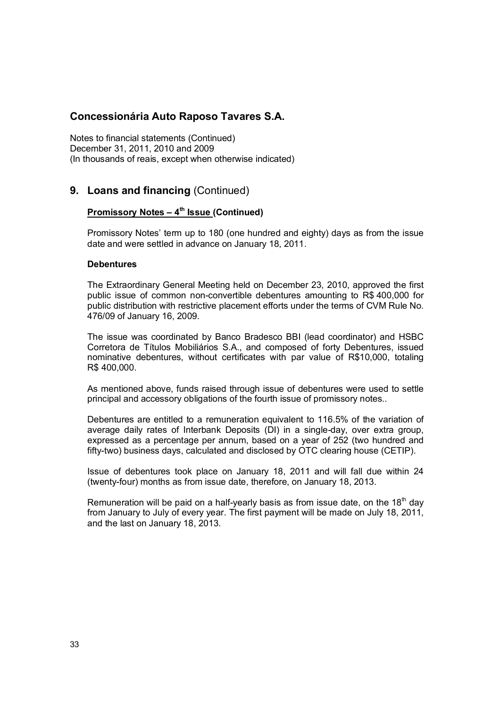Notes to financial statements (Continued) December 31, 2011, 2010 and 2009 (In thousands of reais, except when otherwise indicated)

## **9. Loans and financing** (Continued)

#### **Promissory Notes – 4th Issue (Continued)**

Promissory Notes' term up to 180 (one hundred and eighty) days as from the issue date and were settled in advance on January 18, 2011.

#### **Debentures**

The Extraordinary General Meeting held on December 23, 2010, approved the first public issue of common non-convertible debentures amounting to R\$ 400,000 for public distribution with restrictive placement efforts under the terms of CVM Rule No. 476/09 of January 16, 2009.

The issue was coordinated by Banco Bradesco BBI (lead coordinator) and HSBC Corretora de Títulos Mobiliários S.A., and composed of forty Debentures, issued nominative debentures, without certificates with par value of R\$10,000, totaling R\$ 400,000.

As mentioned above, funds raised through issue of debentures were used to settle principal and accessory obligations of the fourth issue of promissory notes..

Debentures are entitled to a remuneration equivalent to 116.5% of the variation of average daily rates of Interbank Deposits (DI) in a single-day, over extra group, expressed as a percentage per annum, based on a year of 252 (two hundred and fifty-two) business days, calculated and disclosed by OTC clearing house (CETIP).

Issue of debentures took place on January 18, 2011 and will fall due within 24 (twenty-four) months as from issue date, therefore, on January 18, 2013.

Remuneration will be paid on a half-yearly basis as from issue date, on the 18 $^{\text{th}}$  day from January to July of every year. The first payment will be made on July 18, 2011, and the last on January 18, 2013.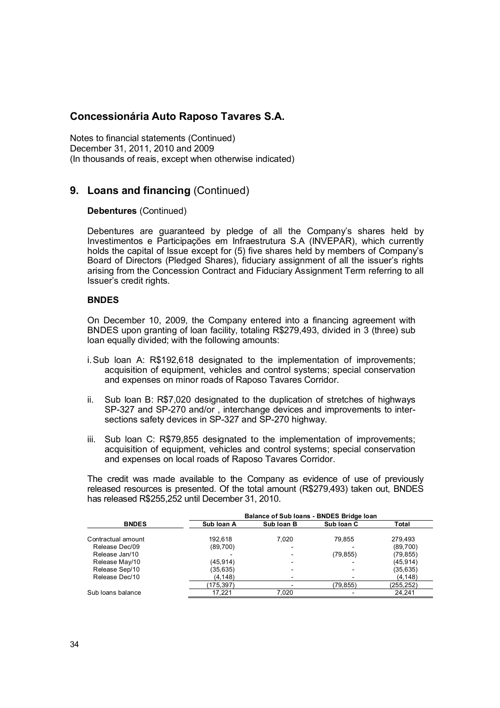Notes to financial statements (Continued) December 31, 2011, 2010 and 2009 (In thousands of reais, except when otherwise indicated)

## **9. Loans and financing** (Continued)

#### **Debentures** (Continued)

Debentures are guaranteed by pledge of all the Company's shares held by Investimentos e Participações em Infraestrutura S.A (INVEPAR), which currently holds the capital of Issue except for (5) five shares held by members of Company's Board of Directors (Pledged Shares), fiduciary assignment of all the issuer's rights arising from the Concession Contract and Fiduciary Assignment Term referring to all Issuer's credit rights.

#### **BNDES**

On December 10, 2009, the Company entered into a financing agreement with BNDES upon granting of loan facility, totaling R\$279,493, divided in 3 (three) sub loan equally divided; with the following amounts:

- i.Sub loan A: R\$192,618 designated to the implementation of improvements; acquisition of equipment, vehicles and control systems; special conservation and expenses on minor roads of Raposo Tavares Corridor.
- ii. Sub loan B: R\$7,020 designated to the duplication of stretches of highways SP-327 and SP-270 and/or , interchange devices and improvements to intersections safety devices in SP-327 and SP-270 highway.
- iii. Sub loan C: R\$79,855 designated to the implementation of improvements; acquisition of equipment, vehicles and control systems; special conservation and expenses on local roads of Raposo Tavares Corridor.

The credit was made available to the Company as evidence of use of previously released resources is presented. Of the total amount (R\$279,493) taken out, BNDES has released R\$255,252 until December 31, 2010.

|                    |            | Balance of Sub Ioans - BNDES Bridge Ioan |            |           |  |  |  |  |
|--------------------|------------|------------------------------------------|------------|-----------|--|--|--|--|
| <b>BNDES</b>       | Sub Ioan A | Sub Ioan B                               | Sub Ioan C | Total     |  |  |  |  |
| Contractual amount | 192.618    | 7.020                                    | 79.855     | 279.493   |  |  |  |  |
| Release Dec/09     | (89,700)   |                                          |            | (89,700)  |  |  |  |  |
| Release Jan/10     |            |                                          | (79, 855)  | (79,855)  |  |  |  |  |
| Release May/10     | (45, 914)  | -                                        |            | (45, 914) |  |  |  |  |
| Release Sep/10     | (35, 635)  | -                                        |            | (35, 635) |  |  |  |  |
| Release Dec/10     | (4, 148)   |                                          |            | (4, 148)  |  |  |  |  |
|                    | (175, 397) |                                          | (79, 855)  | (255,252) |  |  |  |  |
| Sub loans balance  | 17.221     | 7,020                                    |            | 24.241    |  |  |  |  |
|                    |            |                                          |            |           |  |  |  |  |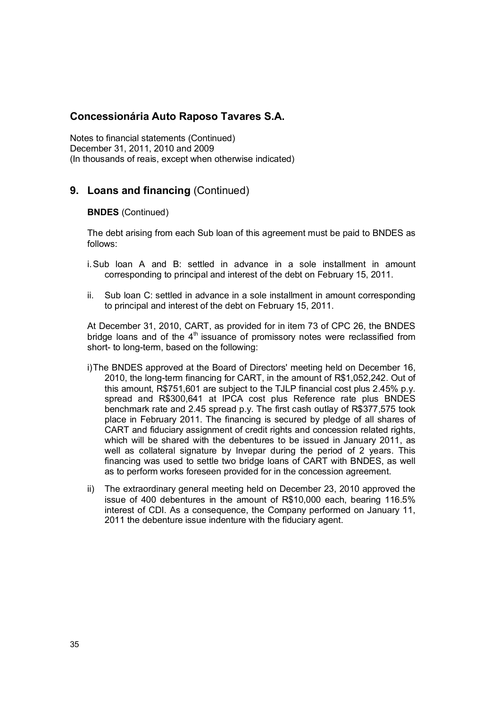Notes to financial statements (Continued) December 31, 2011, 2010 and 2009 (In thousands of reais, except when otherwise indicated)

## **9. Loans and financing** (Continued)

#### **BNDES** (Continued)

The debt arising from each Sub loan of this agreement must be paid to BNDES as follows:

- i.Sub loan A and B: settled in advance in a sole installment in amount corresponding to principal and interest of the debt on February 15, 2011.
- ii. Sub loan C: settled in advance in a sole installment in amount corresponding to principal and interest of the debt on February 15, 2011.

At December 31, 2010, CART, as provided for in item 73 of CPC 26, the BNDES bridge loans and of the  $4<sup>th</sup>$  issuance of promissory notes were reclassified from short- to long-term, based on the following:

- i)The BNDES approved at the Board of Directors' meeting held on December 16, 2010, the long-term financing for CART, in the amount of R\$1,052,242. Out of this amount, R\$751,601 are subject to the TJLP financial cost plus 2.45% p.y. spread and R\$300,641 at IPCA cost plus Reference rate plus BNDES benchmark rate and 2.45 spread p.y. The first cash outlay of R\$377,575 took place in February 2011. The financing is secured by pledge of all shares of CART and fiduciary assignment of credit rights and concession related rights, which will be shared with the debentures to be issued in January 2011, as well as collateral signature by Invepar during the period of 2 years. This financing was used to settle two bridge loans of CART with BNDES, as well as to perform works foreseen provided for in the concession agreement.
- ii) The extraordinary general meeting held on December 23, 2010 approved the issue of 400 debentures in the amount of R\$10,000 each, bearing 116.5% interest of CDI. As a consequence, the Company performed on January 11, 2011 the debenture issue indenture with the fiduciary agent.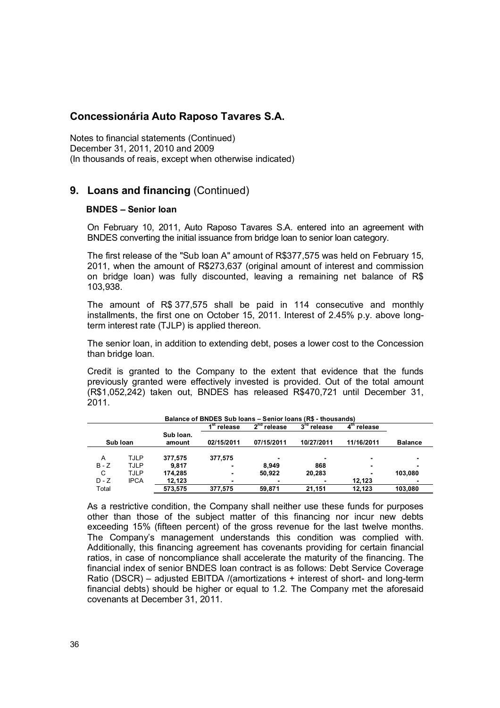Notes to financial statements (Continued) December 31, 2011, 2010 and 2009 (In thousands of reais, except when otherwise indicated)

## **9. Loans and financing** (Continued)

#### **BNDES – Senior loan**

On February 10, 2011, Auto Raposo Tavares S.A. entered into an agreement with BNDES converting the initial issuance from bridge loan to senior loan category.

The first release of the "Sub loan A" amount of R\$377,575 was held on February 15, 2011, when the amount of R\$273,637 (original amount of interest and commission on bridge loan) was fully discounted, leaving a remaining net balance of R\$ 103,938.

The amount of R\$ 377,575 shall be paid in 114 consecutive and monthly installments, the first one on October 15, 2011. Interest of 2.45% p.y. above longterm interest rate (TJLP) is applied thereon.

The senior loan, in addition to extending debt, poses a lower cost to the Concession than bridge loan.

Credit is granted to the Company to the extent that evidence that the funds previously granted were effectively invested is provided. Out of the total amount (R\$1,052,242) taken out, BNDES has released R\$470,721 until December 31, 2011.

|         | Balance of BNDES Sub loans - Senior loans (R\$ - thousands) |                     |                |               |                            |                |                |  |
|---------|-------------------------------------------------------------|---------------------|----------------|---------------|----------------------------|----------------|----------------|--|
|         |                                                             |                     | ⊿st<br>release | $2nd$ release | $3^{\text{rd}}$<br>release | release<br>4   |                |  |
|         | Sub Ioan                                                    | Sub Ioan.<br>amount | 02/15/2011     | 07/15/2011    | 10/27/2011                 | 11/16/2011     | <b>Balance</b> |  |
|         |                                                             |                     |                |               |                            |                |                |  |
| A       | <b>TJLP</b>                                                 | 377.575             | 377.575        |               | -                          |                |                |  |
| $B - Z$ | TJLP                                                        | 9.817               |                | 8.949         | 868                        |                |                |  |
| C       | TJLP                                                        | 174.285             | $\blacksquare$ | 50.922        | 20,283                     | $\blacksquare$ | 103.080        |  |
| $D - Z$ | <b>IPCA</b>                                                 | 12.123              | ٠              |               |                            | 12.123         |                |  |
| Total   |                                                             | 573,575             | 377.575        | 59.871        | 21.151                     | 12.123         | 103,080        |  |

As a restrictive condition, the Company shall neither use these funds for purposes other than those of the subject matter of this financing nor incur new debts exceeding 15% (fifteen percent) of the gross revenue for the last twelve months. The Company's management understands this condition was complied with. Additionally, this financing agreement has covenants providing for certain financial ratios, in case of noncompliance shall accelerate the maturity of the financing. The financial index of senior BNDES loan contract is as follows: Debt Service Coverage Ratio (DSCR) – adjusted EBITDA /(amortizations + interest of short- and long-term financial debts) should be higher or equal to 1.2. The Company met the aforesaid covenants at December 31, 2011.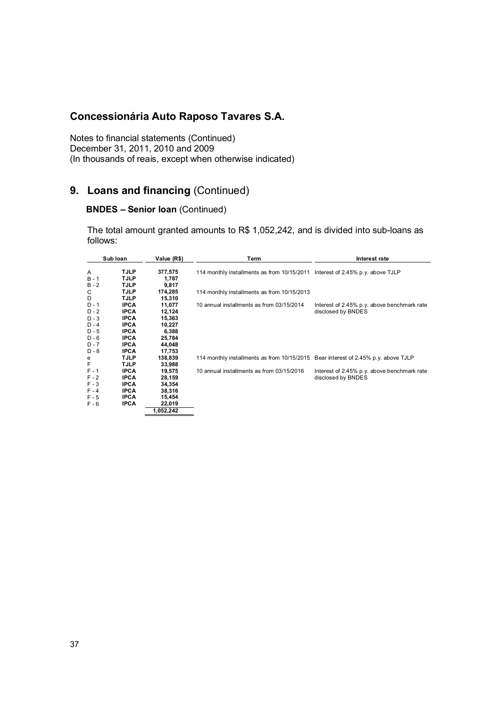Notes to financial statements (Continued) December 31, 2011, 2010 and 2009 (In thousands of reais, except when otherwise indicated)

## **9. Loans and financing** (Continued)

## **BNDES – Senior loan** (Continued)

The total amount granted amounts to R\$ 1,052,242, and is divided into sub-loans as follows:

| Sub Ioan                      |                                           | Value (R\$)                | Term                                                                               | Interest rate                                                     |  |
|-------------------------------|-------------------------------------------|----------------------------|------------------------------------------------------------------------------------|-------------------------------------------------------------------|--|
| Α<br>$B - 1$<br>B - 2         | <b>TJLP</b><br>TJLP<br>TJLP               | 377,575<br>1,787<br>9,817  | 114 monthly installments as from 10/15/2011 Interest of 2.45% p.y. above TJLP      |                                                                   |  |
| С<br>D                        | TJLP<br>TJLP                              | 174,285<br>15,310          | 114 monthly installments as from 10/15/2013                                        |                                                                   |  |
| $D - 1$<br>$D - 2$<br>$D - 3$ | <b>IPCA</b><br><b>IPCA</b><br><b>IPCA</b> | 11,077<br>12,124<br>15,363 | 10 annual installments as from 03/15/2014                                          | Interest of 2.45% p.y. above benchmark rate<br>disclosed by BNDES |  |
| $D - 4$<br>$D - 5$            | <b>IPCA</b><br><b>IPCA</b><br><b>IPCA</b> | 10,227<br>6,388            |                                                                                    |                                                                   |  |
| $D - 6$<br>$D - 7$<br>D - 8   | <b>IPCA</b><br><b>IPCA</b>                | 25,784<br>44,048<br>17,753 |                                                                                    |                                                                   |  |
| e<br>F                        | TJLP<br>TJLP                              | 138,839<br>33,988          | 114 monthly installments as from 10/15/2015 Bear interest of 2.45% p.y. above TJLP |                                                                   |  |
| $F - 1$<br>$F - 2$            | <b>IPCA</b><br><b>IPCA</b>                | 19,575<br>28,159           | 10 annual installments as from 03/15/2016                                          | Interest of 2.45% p.y. above benchmark rate<br>disclosed by BNDES |  |
| $F - 3$<br>$F - 4$<br>$F - 5$ | <b>IPCA</b><br><b>IPCA</b><br><b>IPCA</b> | 34,354<br>38,316<br>15,454 |                                                                                    |                                                                   |  |
| $F - 6$                       | <b>IPCA</b>                               | 22,019<br>052,242. ا       |                                                                                    |                                                                   |  |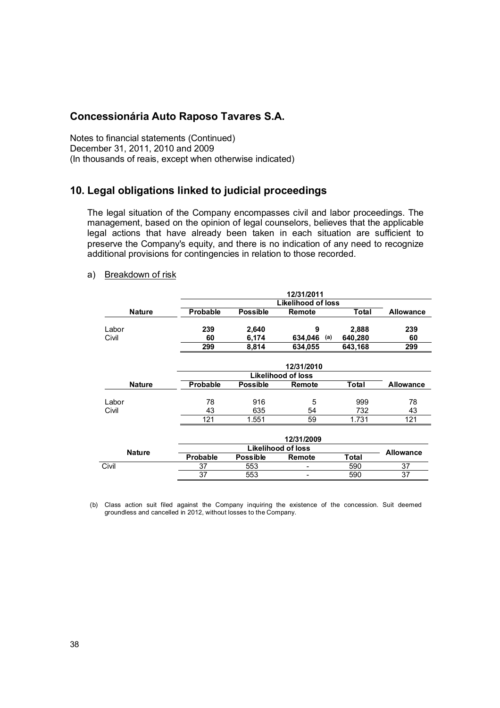Notes to financial statements (Continued) December 31, 2011, 2010 and 2009 (In thousands of reais, except when otherwise indicated)

## **10. Legal obligations linked to judicial proceedings**

The legal situation of the Company encompasses civil and labor proceedings. The management, based on the opinion of legal counselors, believes that the applicable legal actions that have already been taken in each situation are sufficient to preserve the Company's equity, and there is no indication of any need to recognize additional provisions for contingencies in relation to those recorded.

#### a) Breakdown of risk

|               | 12/31/2011      |                 |                           |         |                  |  |
|---------------|-----------------|-----------------|---------------------------|---------|------------------|--|
|               |                 |                 | Likelihood of loss        |         |                  |  |
| <b>Nature</b> | <b>Probable</b> | <b>Possible</b> | <b>Remote</b>             | Total   | <b>Allowance</b> |  |
|               |                 |                 |                           |         |                  |  |
| Labor         | 239             | 2,640           | 9                         | 2,888   | 239              |  |
| Civil         | 60              | 6,174           | 634,046<br>(a)            | 640,280 | 60               |  |
|               | 299             | 8,814           | 634,055                   | 643,168 | 299              |  |
|               |                 |                 |                           |         |                  |  |
|               |                 |                 | 12/31/2010                |         |                  |  |
|               |                 |                 | <b>Likelihood of loss</b> |         |                  |  |
| <b>Nature</b> | <b>Probable</b> | <b>Possible</b> | Remote                    | Total   | <b>Allowance</b> |  |
|               |                 |                 |                           |         |                  |  |
| Labor         | 78              | 916             | 5                         | 999     | 78               |  |
| Civil         | 43              | 635             | 54                        | 732     | 43               |  |
|               | 121             | 1.551           | 59                        | 1.731   | 121              |  |
|               |                 |                 |                           |         |                  |  |
| 12/31/2009    |                 |                 |                           |         |                  |  |
| <b>Nature</b> |                 |                 | <b>Likelihood of loss</b> |         | <b>Allowance</b> |  |
|               | Probable        | <b>Possible</b> | Remote                    | Total   |                  |  |
| Civil         | 37              | 553             |                           | 590     | 37               |  |

(b) Class action suit filed against the Company inquiring the existence of the concession. Suit deemed groundless and cancelled in 2012, without losses to the Company.

37 553 - 590 37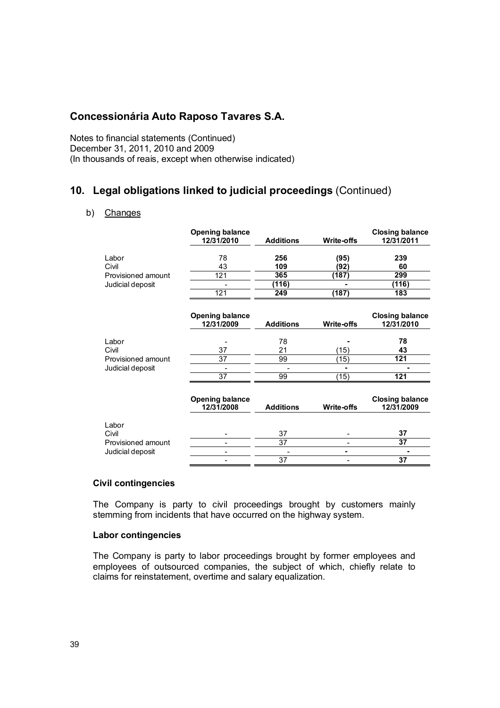Notes to financial statements (Continued) December 31, 2011, 2010 and 2009 (In thousands of reais, except when otherwise indicated)

## **10. Legal obligations linked to judicial proceedings** (Continued)

#### b) Changes

|                    | <b>Opening balance</b><br>12/31/2010 | <b>Additions</b> | <b>Write-offs</b> | <b>Closing balance</b><br>12/31/2011 |
|--------------------|--------------------------------------|------------------|-------------------|--------------------------------------|
| Labor<br>Civil     | 78<br>43                             | 256<br>109       | (95)<br>(92)      | 239<br>60                            |
| Provisioned amount | 121                                  | 365              | (187)             | 299                                  |
| Judicial deposit   |                                      | (116)            |                   | (116)                                |
|                    | 121                                  | 249              | (187)             | 183                                  |
|                    | <b>Opening balance</b><br>12/31/2009 | <b>Additions</b> | <b>Write-offs</b> | <b>Closing balance</b><br>12/31/2010 |
| Labor              |                                      | 78               |                   | 78                                   |
| Civil              | 37                                   | 21               | (15)              | 43                                   |
| Provisioned amount | 37                                   | 99               | (15)              | 121                                  |
| Judicial deposit   |                                      |                  |                   |                                      |
|                    | 37                                   | 99               | (15)              | 121                                  |
|                    | <b>Opening balance</b><br>12/31/2008 | <b>Additions</b> | Write-offs        | <b>Closing balance</b><br>12/31/2009 |
| Labor<br>Civil     |                                      | 37               |                   | 37                                   |
| Provisioned amount |                                      | 37               |                   | 37                                   |
| Judicial deposit   |                                      |                  |                   |                                      |
|                    |                                      | 37               |                   | 37                                   |

#### **Civil contingencies**

The Company is party to civil proceedings brought by customers mainly stemming from incidents that have occurred on the highway system.

#### **Labor contingencies**

The Company is party to labor proceedings brought by former employees and employees of outsourced companies, the subject of which, chiefly relate to claims for reinstatement, overtime and salary equalization.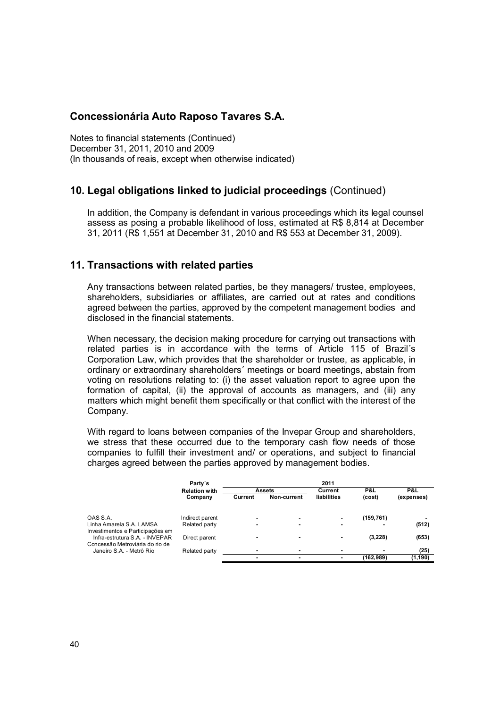Notes to financial statements (Continued) December 31, 2011, 2010 and 2009 (In thousands of reais, except when otherwise indicated)

## **10. Legal obligations linked to judicial proceedings** (Continued)

In addition, the Company is defendant in various proceedings which its legal counsel assess as posing a probable likelihood of loss, estimated at R\$ 8,814 at December 31, 2011 (R\$ 1,551 at December 31, 2010 and R\$ 553 at December 31, 2009).

### **11. Transactions with related parties**

Any transactions between related parties, be they managers/ trustee, employees, shareholders, subsidiaries or affiliates, are carried out at rates and conditions agreed between the parties, approved by the competent management bodies and disclosed in the financial statements.

When necessary, the decision making procedure for carrying out transactions with related parties is in accordance with the terms of Article 115 of Brazil´s Corporation Law, which provides that the shareholder or trustee, as applicable, in ordinary or extraordinary shareholders´ meetings or board meetings, abstain from voting on resolutions relating to: (i) the asset valuation report to agree upon the formation of capital, (ii) the approval of accounts as managers, and (iii) any matters which might benefit them specifically or that conflict with the interest of the Company.

With regard to loans between companies of the Invepar Group and shareholders, we stress that these occurred due to the temporary cash flow needs of those companies to fulfill their investment and/ or operations, and subject to financial charges agreed between the parties approved by management bodies.

|                                  | Party's              | 2011    |               |             |            |            |
|----------------------------------|----------------------|---------|---------------|-------------|------------|------------|
|                                  | <b>Relation with</b> |         | <b>Assets</b> | Current     | P&L        | P&L        |
|                                  | Company              | Current | Non-current   | liabilities | (cost)     | (expenses) |
|                                  |                      |         |               |             |            |            |
| OAS S.A.                         | Indirect parent      |         | ۰             |             | (159, 761) |            |
| Linha Amarela S.A. LAMSA         | Related party        |         |               |             |            | (512)      |
| Investimentos e Participações em |                      |         |               |             |            |            |
| Infra-estrutura S.A. - INVEPAR   | Direct parent        |         | ۰             | ۰           | (3,228)    | (653)      |
| Concessão Metroviária do rio de  |                      |         |               |             |            |            |
| Janeiro S.A. - Metrô Rio         | Related party        |         |               |             |            | (25)       |
|                                  |                      |         | ۰             |             | (162, 989) | (1, 190)   |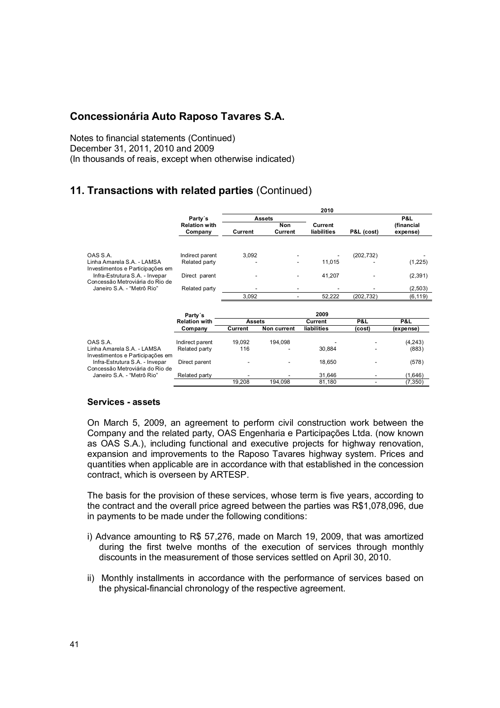Notes to financial statements (Continued) December 31, 2011, 2010 and 2009 (In thousands of reais, except when otherwise indicated)

## **11. Transactions with related parties** (Continued)

|                                                                                                                                                                               |                                                                    |                |                | 2010                       |                          |                                              |
|-------------------------------------------------------------------------------------------------------------------------------------------------------------------------------|--------------------------------------------------------------------|----------------|----------------|----------------------------|--------------------------|----------------------------------------------|
|                                                                                                                                                                               | Party's                                                            |                | <b>Assets</b>  |                            |                          | P&L                                          |
|                                                                                                                                                                               | <b>Relation with</b><br>Company                                    | Current        | Non<br>Current | Current<br>liabilities     | P&L (cost)               | (financial<br>expense)                       |
| OAS S.A.<br>Linha Amarela S.A. - LAMSA<br>Investimentos e Participações em<br>Infra-Estrutura S.A. - Invepar<br>Concessão Metroviária do Rio de<br>Janeiro S.A. - "Metrô Rio" | Indirect parent<br>Related party<br>Direct parent<br>Related party | 3,092<br>3,092 |                | 11,015<br>41,207<br>52,222 | (202, 732)<br>(202, 732) | (1, 225)<br>(2, 391)<br>(2, 503)<br>(6, 119) |
|                                                                                                                                                                               | Party's                                                            |                |                | 2009                       |                          |                                              |
|                                                                                                                                                                               | <b>Relation with</b>                                               | <b>Assets</b>  |                | Current                    | P&L                      | P&L                                          |
|                                                                                                                                                                               | Company                                                            | Current        | Non current    | liabilities                | (cost)                   | (expense)                                    |
| OAS S.A.                                                                                                                                                                      | Indirect parent                                                    | 19,092         | 194,098        |                            |                          | (4,243)                                      |
| Linha Amarela S.A. - LAMSA<br>Investimentos e Participações em                                                                                                                | Related party                                                      | 116            |                | 30,884                     |                          | (883)                                        |
| Infra-Estrutura S.A. - Invepar<br>Concessão Metroviária do Rio de                                                                                                             | Direct parent                                                      |                |                | 18,650                     |                          | (578)                                        |
| Janeiro S.A. - "Metrô Rio"                                                                                                                                                    | Related party                                                      |                |                | 31,646                     |                          | (1,646)                                      |
|                                                                                                                                                                               |                                                                    | 19,208         | 194,098        | 81,180                     | $\overline{\phantom{0}}$ | (7, 350)                                     |

#### **Services - assets**

On March 5, 2009, an agreement to perform civil construction work between the Company and the related party, OAS Engenharia e Participações Ltda. (now known as OAS S.A.), including functional and executive projects for highway renovation, expansion and improvements to the Raposo Tavares highway system. Prices and quantities when applicable are in accordance with that established in the concession contract, which is overseen by ARTESP.

The basis for the provision of these services, whose term is five years, according to the contract and the overall price agreed between the parties was R\$1,078,096, due in payments to be made under the following conditions:

- i) Advance amounting to R\$ 57,276, made on March 19, 2009, that was amortized during the first twelve months of the execution of services through monthly discounts in the measurement of those services settled on April 30, 2010.
- ii) Monthly installments in accordance with the performance of services based on the physical-financial chronology of the respective agreement.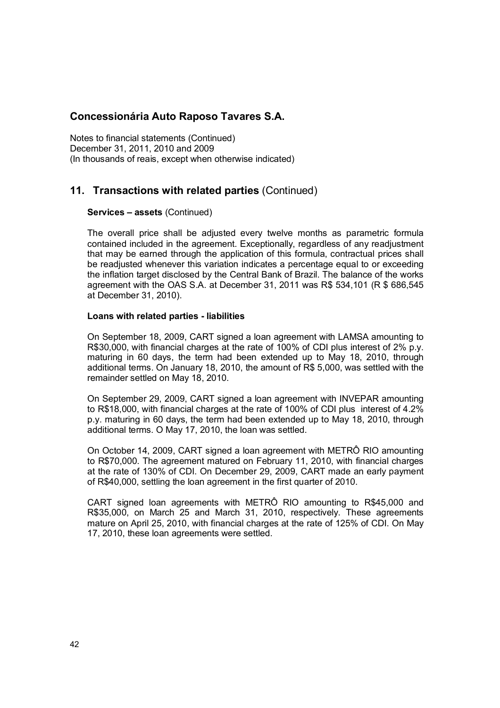Notes to financial statements (Continued) December 31, 2011, 2010 and 2009 (In thousands of reais, except when otherwise indicated)

## **11. Transactions with related parties** (Continued)

#### **Services – assets** (Continued)

The overall price shall be adjusted every twelve months as parametric formula contained included in the agreement. Exceptionally, regardless of any readjustment that may be earned through the application of this formula, contractual prices shall be readjusted whenever this variation indicates a percentage equal to or exceeding the inflation target disclosed by the Central Bank of Brazil. The balance of the works agreement with the OAS S.A. at December 31, 2011 was R\$ 534,101 (R \$ 686,545 at December 31, 2010).

#### **Loans with related parties - liabilities**

On September 18, 2009, CART signed a loan agreement with LAMSA amounting to R\$30,000, with financial charges at the rate of 100% of CDI plus interest of 2% p.y. maturing in 60 days, the term had been extended up to May 18, 2010, through additional terms. On January 18, 2010, the amount of R\$ 5,000, was settled with the remainder settled on May 18, 2010.

On September 29, 2009, CART signed a loan agreement with INVEPAR amounting to R\$18,000, with financial charges at the rate of 100% of CDI plus interest of 4.2% p.y. maturing in 60 days, the term had been extended up to May 18, 2010, through additional terms. O May 17, 2010, the loan was settled.

On October 14, 2009, CART signed a loan agreement with METRÔ RIO amounting to R\$70,000. The agreement matured on February 11, 2010, with financial charges at the rate of 130% of CDI. On December 29, 2009, CART made an early payment of R\$40,000, settling the loan agreement in the first quarter of 2010.

CART signed loan agreements with METRÔ RIO amounting to R\$45,000 and R\$35,000, on March 25 and March 31, 2010, respectively. These agreements mature on April 25, 2010, with financial charges at the rate of 125% of CDI. On May 17, 2010, these loan agreements were settled.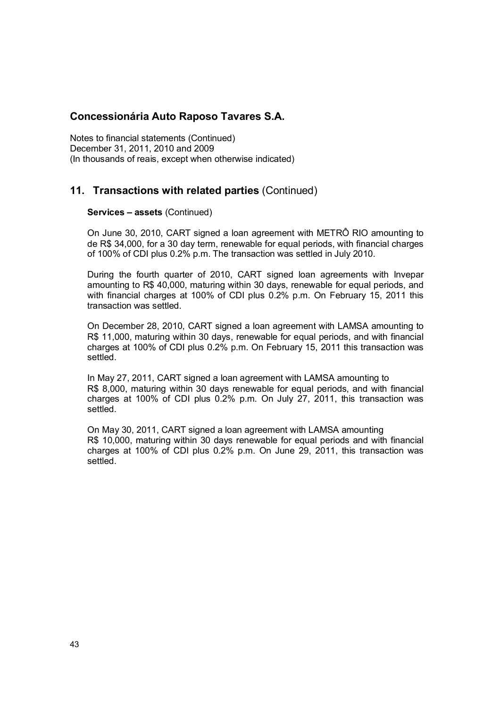Notes to financial statements (Continued) December 31, 2011, 2010 and 2009 (In thousands of reais, except when otherwise indicated)

## **11. Transactions with related parties** (Continued)

#### **Services – assets** (Continued)

On June 30, 2010, CART signed a loan agreement with METRÔ RIO amounting to de R\$ 34,000, for a 30 day term, renewable for equal periods, with financial charges of 100% of CDI plus 0.2% p.m. The transaction was settled in July 2010.

During the fourth quarter of 2010, CART signed loan agreements with Invepar amounting to R\$ 40,000, maturing within 30 days, renewable for equal periods, and with financial charges at 100% of CDI plus 0.2% p.m. On February 15, 2011 this transaction was settled.

On December 28, 2010, CART signed a loan agreement with LAMSA amounting to R\$ 11,000, maturing within 30 days, renewable for equal periods, and with financial charges at 100% of CDI plus 0.2% p.m. On February 15, 2011 this transaction was settled.

In May 27, 2011, CART signed a loan agreement with LAMSA amounting to R\$ 8,000, maturing within 30 days renewable for equal periods, and with financial charges at 100% of CDI plus 0.2% p.m. On July 27, 2011, this transaction was settled.

On May 30, 2011, CART signed a loan agreement with LAMSA amounting R\$ 10,000, maturing within 30 days renewable for equal periods and with financial charges at 100% of CDI plus 0.2% p.m. On June 29, 2011, this transaction was settled.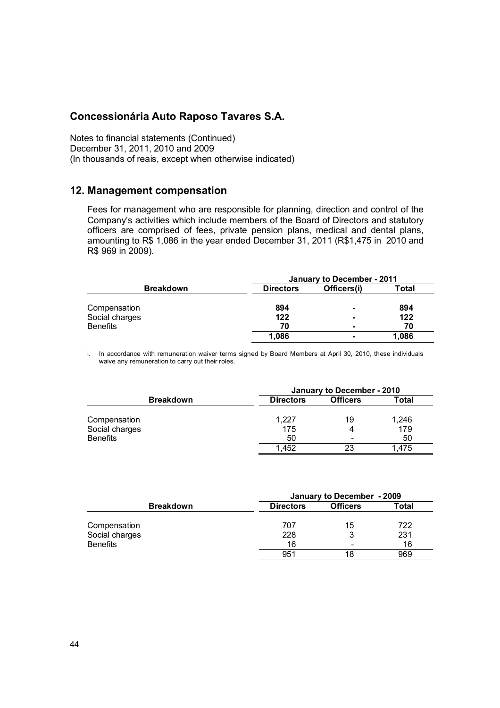Notes to financial statements (Continued) December 31, 2011, 2010 and 2009 (In thousands of reais, except when otherwise indicated)

#### **12. Management compensation**

Fees for management who are responsible for planning, direction and control of the Company's activities which include members of the Board of Directors and statutory officers are comprised of fees, private pension plans, medical and dental plans, amounting to R\$ 1,086 in the year ended December 31, 2011 (R\$1,475 in 2010 and R\$ 969 in 2009).

|                  | January to December - 2011 |                          |       |  |
|------------------|----------------------------|--------------------------|-------|--|
| <b>Breakdown</b> | <b>Directors</b>           | Officers(i)              | Total |  |
| Compensation     | 894                        | $\overline{\phantom{0}}$ | 894   |  |
| Social charges   | 122                        | -                        | 122   |  |
| <b>Benefits</b>  | 70                         | -                        | 70    |  |
|                  | 1.086                      | $\blacksquare$           | 1.086 |  |

i. In accordance with remuneration waiver terms signed by Board Members at April 30, 2010, these individuals waive any remuneration to carry out their roles.

|                  | January to December - 2010 |                          |       |  |
|------------------|----------------------------|--------------------------|-------|--|
| <b>Breakdown</b> | <b>Directors</b>           | <b>Officers</b>          | Total |  |
| Compensation     | 1.227                      | 19                       | 1,246 |  |
| Social charges   | 175                        |                          | 179   |  |
| <b>Benefits</b>  | 50                         | $\overline{\phantom{0}}$ | 50    |  |
|                  | 1.452                      | 23                       | 1.475 |  |

|                  | January to December - 2009 |                          |              |  |
|------------------|----------------------------|--------------------------|--------------|--|
| <b>Breakdown</b> | <b>Directors</b>           | <b>Officers</b>          | <b>Total</b> |  |
| Compensation     | 707                        | 15                       | 722          |  |
| Social charges   | 228                        |                          | 231          |  |
| <b>Benefits</b>  | 16                         | $\overline{\phantom{0}}$ | 16           |  |
|                  | 951                        | 18                       | 969          |  |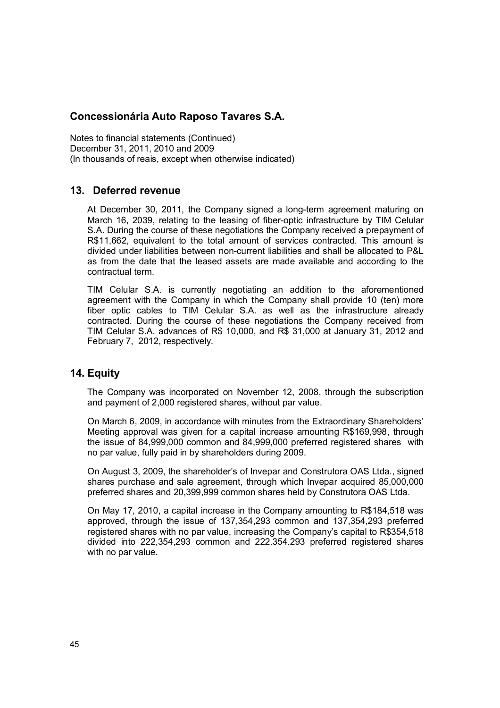Notes to financial statements (Continued) December 31, 2011, 2010 and 2009 (In thousands of reais, except when otherwise indicated)

## **13. Deferred revenue**

At December 30, 2011, the Company signed a long-term agreement maturing on March 16, 2039, relating to the leasing of fiber-optic infrastructure by TIM Celular S.A. During the course of these negotiations the Company received a prepayment of R\$11,662, equivalent to the total amount of services contracted. This amount is divided under liabilities between non-current liabilities and shall be allocated to P&L as from the date that the leased assets are made available and according to the contractual term.

TIM Celular S.A. is currently negotiating an addition to the aforementioned agreement with the Company in which the Company shall provide 10 (ten) more fiber optic cables to TIM Celular S.A. as well as the infrastructure already contracted. During the course of these negotiations the Company received from TIM Celular S.A. advances of R\$ 10,000, and R\$ 31,000 at January 31, 2012 and February 7, 2012, respectively.

## **14. Equity**

The Company was incorporated on November 12, 2008, through the subscription and payment of 2,000 registered shares, without par value.

On March 6, 2009, in accordance with minutes from the Extraordinary Shareholders' Meeting approval was given for a capital increase amounting R\$169,998, through the issue of 84,999,000 common and 84,999,000 preferred registered shares with no par value, fully paid in by shareholders during 2009.

On August 3, 2009, the shareholder's of Invepar and Construtora OAS Ltda., signed shares purchase and sale agreement, through which Invepar acquired 85,000,000 preferred shares and 20,399,999 common shares held by Construtora OAS Ltda.

On May 17, 2010, a capital increase in the Company amounting to R\$184,518 was approved, through the issue of 137,354,293 common and 137,354,293 preferred registered shares with no par value, increasing the Company's capital to R\$354,518 divided into 222,354,293 common and 222.354.293 preferred registered shares with no par value.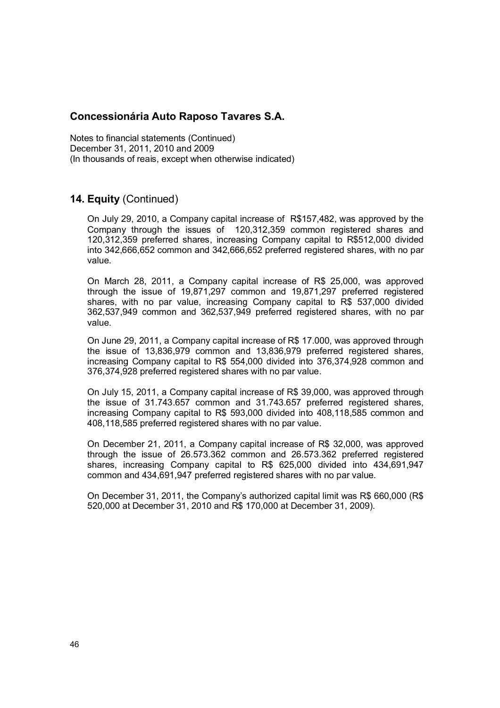Notes to financial statements (Continued) December 31, 2011, 2010 and 2009 (In thousands of reais, except when otherwise indicated)

## **14. Equity** (Continued)

On July 29, 2010, a Company capital increase of R\$157,482, was approved by the Company through the issues of 120,312,359 common registered shares and 120,312,359 preferred shares, increasing Company capital to R\$512,000 divided into 342,666,652 common and 342,666,652 preferred registered shares, with no par value.

On March 28, 2011, a Company capital increase of R\$ 25,000, was approved through the issue of 19,871,297 common and 19,871,297 preferred registered shares, with no par value, increasing Company capital to R\$ 537,000 divided 362,537,949 common and 362,537,949 preferred registered shares, with no par value.

On June 29, 2011, a Company capital increase of R\$ 17.000, was approved through the issue of 13,836,979 common and 13,836,979 preferred registered shares, increasing Company capital to R\$ 554,000 divided into 376,374,928 common and 376,374,928 preferred registered shares with no par value.

On July 15, 2011, a Company capital increase of R\$ 39,000, was approved through the issue of 31.743.657 common and 31.743.657 preferred registered shares, increasing Company capital to R\$ 593,000 divided into 408,118,585 common and 408,118,585 preferred registered shares with no par value.

On December 21, 2011, a Company capital increase of R\$ 32,000, was approved through the issue of 26.573.362 common and 26.573.362 preferred registered shares, increasing Company capital to R\$ 625,000 divided into 434,691,947 common and 434,691,947 preferred registered shares with no par value.

On December 31, 2011, the Company's authorized capital limit was R\$ 660,000 (R\$ 520,000 at December 31, 2010 and R\$ 170,000 at December 31, 2009).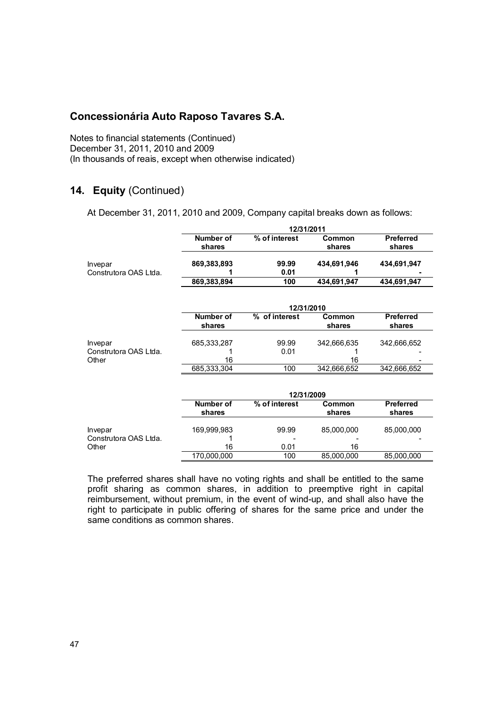Notes to financial statements (Continued) December 31, 2011, 2010 and 2009 (In thousands of reais, except when otherwise indicated)

## **14. Equity** (Continued)

At December 31, 2011, 2010 and 2009, Company capital breaks down as follows:

|                       |                     | 12/31/2011    |                  |                            |  |
|-----------------------|---------------------|---------------|------------------|----------------------------|--|
|                       | Number of<br>shares | % of interest | Common<br>shares | <b>Preferred</b><br>shares |  |
| Invepar               | 869,383,893         | 99.99         | 434.691.946      | 434,691,947                |  |
| Construtora OAS Ltda. |                     | 0.01          |                  |                            |  |
|                       | 869,383,894         | 100           | 434.691.947      | 434.691.947                |  |

|                       |                     | 12/31/2010    |                  |                            |  |
|-----------------------|---------------------|---------------|------------------|----------------------------|--|
|                       | Number of<br>shares | % of interest | Common<br>shares | <b>Preferred</b><br>shares |  |
| Invepar               | 685.333.287         | 99.99         | 342.666.635      | 342.666.652                |  |
| Construtora OAS Ltda. |                     | 0.01          |                  |                            |  |
| Other                 | 16                  |               | 16               |                            |  |
|                       | 685,333,304         | 100           | 342,666,652      | 342,666,652                |  |

|                                  | 12/31/2009          |               |                  |                            |
|----------------------------------|---------------------|---------------|------------------|----------------------------|
|                                  | Number of<br>shares | % of interest | Common<br>shares | <b>Preferred</b><br>shares |
| Invepar<br>Construtora OAS Ltda. | 169,999,983         | 99.99         | 85,000,000       | 85,000,000                 |
| Other                            | 16                  | 0.01          | 16               |                            |
|                                  | 170,000,000         | 100           | 85,000,000       | 85,000,000                 |

The preferred shares shall have no voting rights and shall be entitled to the same profit sharing as common shares, in addition to preemptive right in capital reimbursement, without premium, in the event of wind-up, and shall also have the right to participate in public offering of shares for the same price and under the same conditions as common shares.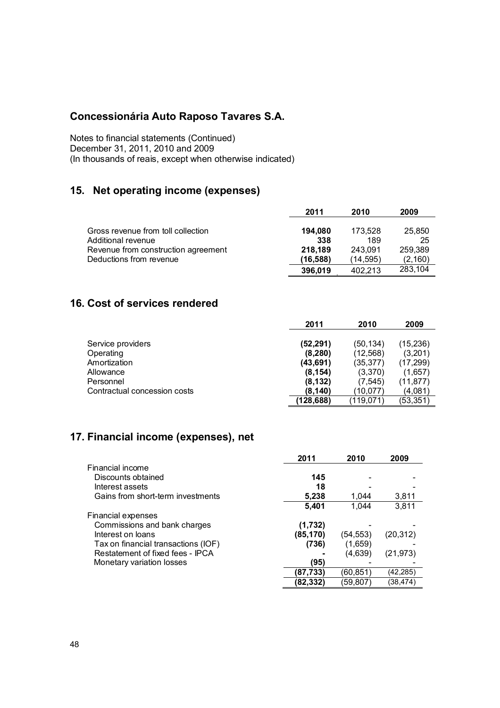Notes to financial statements (Continued) December 31, 2011, 2010 and 2009 (In thousands of reais, except when otherwise indicated)

## **15. Net operating income (expenses)**

|                                     | 2011     | 2010     | 2009    |
|-------------------------------------|----------|----------|---------|
|                                     |          |          |         |
| Gross revenue from toll collection  | 194.080  | 173.528  | 25,850  |
| Additional revenue                  | 338      | 189      | 25      |
| Revenue from construction agreement | 218.189  | 243.091  | 259.389 |
| Deductions from revenue             | (16,588) | (14.595) | (2,160) |
|                                     | 396,019  | 402.213  | 283,104 |

## **16. Cost of services rendered**

|                              | 2011       | 2010      | 2009      |
|------------------------------|------------|-----------|-----------|
| Service providers            | (52,291)   | (50,134)  | (15, 236) |
| Operating                    | (8, 280)   | (12, 568) | (3,201)   |
| Amortization                 | (43,691)   | (35, 377) | (17, 299) |
| Allowance                    | (8, 154)   | (3,370)   | (1,657)   |
| Personnel                    | (8, 132)   | (7, 545)  | (11, 877) |
| Contractual concession costs | (8.140)    | (10.077)  | (4.081)   |
|                              | (128, 688) | (119.071) | (53,351)  |

## **17. Financial income (expenses), net**

|                                     | 2011      | 2010     | 2009      |
|-------------------------------------|-----------|----------|-----------|
| Financial income                    |           |          |           |
| Discounts obtained                  | 145       |          |           |
| Interest assets                     | 18        |          |           |
| Gains from short-term investments   | 5,238     | 1.044    | 3,811     |
|                                     | 5,401     | 1.044    | 3,811     |
| <b>Financial expenses</b>           |           |          |           |
| Commissions and bank charges        | (1,732)   |          |           |
| Interest on loans                   | (85, 170) | (54,553) | (20,312)  |
| Tax on financial transactions (IOF) | (736)     | (1,659)  |           |
| Restatement of fixed fees - IPCA    |           | (4,639)  | (21, 973) |
| Monetary variation losses           | (95)      |          |           |
|                                     | (87,733)  | (60,851) | (42,285)  |
|                                     | (82.332)  | (59.807  | (38,474)  |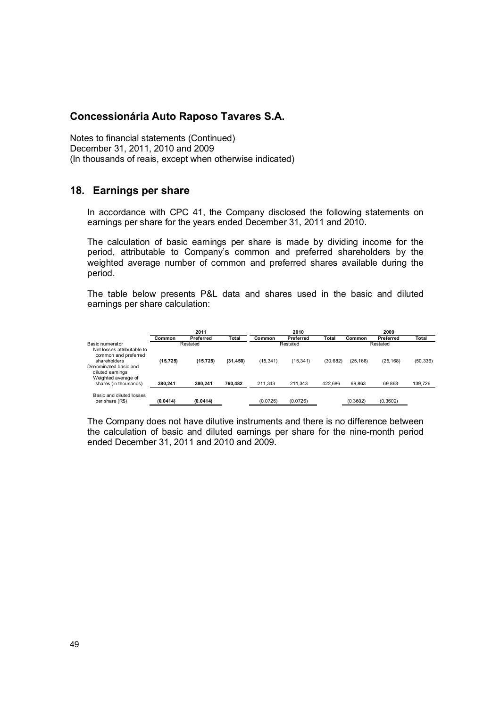Notes to financial statements (Continued) December 31, 2011, 2010 and 2009 (In thousands of reais, except when otherwise indicated)

### **18. Earnings per share**

In accordance with CPC 41, the Company disclosed the following statements on earnings per share for the years ended December 31, 2011 and 2010.

The calculation of basic earnings per share is made by dividing income for the period, attributable to Company's common and preferred shareholders by the weighted average number of common and preferred shares available during the period.

The table below presents P&L data and shares used in the basic and diluted earnings per share calculation:

|                                                                                  | 2011      |           |           | 2010      |           |              | 2009      |           |           |
|----------------------------------------------------------------------------------|-----------|-----------|-----------|-----------|-----------|--------------|-----------|-----------|-----------|
|                                                                                  | Common    | Preferred | Total     | Common    | Preferred | <b>Total</b> | Common    | Preferred | Total     |
| Basic numerator<br>Net losses attributable to<br>common and preferred            |           | Restated  |           |           | Restated  |              |           | Restated  |           |
| shareholders<br>Denominated basic and<br>diluted earnings<br>Weighted average of | (15, 725) | (15, 725) | (31, 450) | (15, 341) | (15, 341) | (30, 682)    | (25, 168) | (25, 168) | (50, 336) |
| shares (in thousands)                                                            | 380.241   | 380.241   | 760.482   | 211.343   | 211.343   | 422.686      | 69.863    | 69.863    | 139,726   |
| Basic and diluted losses<br>per share (R\$)                                      | (0.0414)  | (0.0414)  |           | (0.0726)  | (0.0726)  |              | (0.3602)  | (0.3602)  |           |

The Company does not have dilutive instruments and there is no difference between the calculation of basic and diluted earnings per share for the nine-month period ended December 31, 2011 and 2010 and 2009.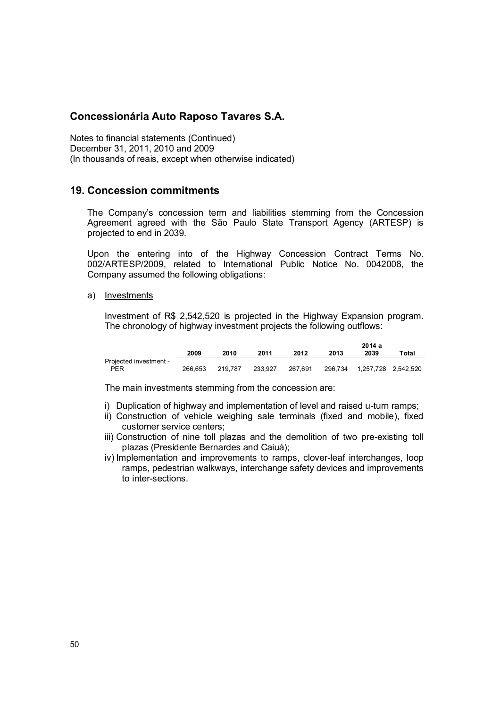Notes to financial statements (Continued) December 31, 2011, 2010 and 2009 (In thousands of reais, except when otherwise indicated)

#### **19. Concession commitments**

The Company's concession term and liabilities stemming from the Concession Agreement agreed with the São Paulo State Transport Agency (ARTESP) is projected to end in 2039.

Upon the entering into of the Highway Concession Contract Terms No. 002/ARTESP/2009, related to International Public Notice No. 0042008, the Company assumed the following obligations:

a) Investments

Investment of R\$ 2,542,520 is projected in the Highway Expansion program. The chronology of highway investment projects the following outflows:

|                        |         |         |         |         | 2014a   |                     |       |  |
|------------------------|---------|---------|---------|---------|---------|---------------------|-------|--|
|                        | 2009    | 2010    | 2011    | 2012    | 2013    | 2039                | Total |  |
| Projected investment - |         |         |         |         |         |                     |       |  |
| <b>PER</b>             | 266.653 | 219.787 | 233.927 | 267.691 | 296.734 | 1,257,728 2,542,520 |       |  |

The main investments stemming from the concession are:

- i) Duplication of highway and implementation of level and raised u-turn ramps;
- ii) Construction of vehicle weighing sale terminals (fixed and mobile), fixed customer service centers;
- iii) Construction of nine toll plazas and the demolition of two pre-existing toll plazas (Presidente Bernardes and Caiuá);
- iv) Implementation and improvements to ramps, clover-leaf interchanges, loop ramps, pedestrian walkways, interchange safety devices and improvements to inter-sections.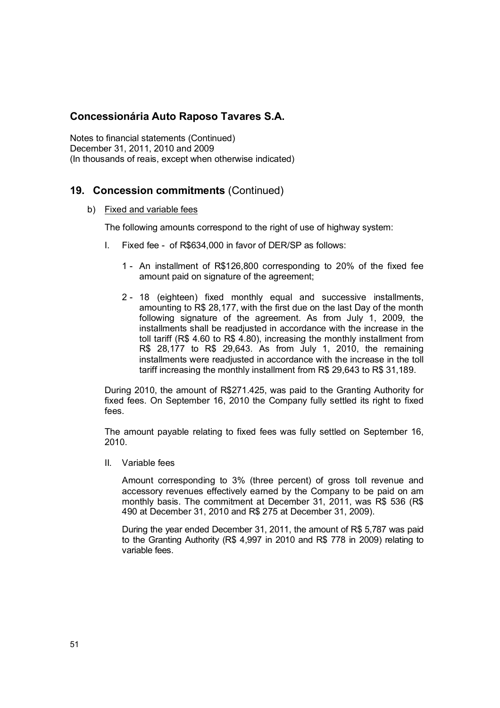Notes to financial statements (Continued) December 31, 2011, 2010 and 2009 (In thousands of reais, except when otherwise indicated)

## **19. Concession commitments** (Continued)

b) Fixed and variable fees

The following amounts correspond to the right of use of highway system:

- I. Fixed fee of R\$634,000 in favor of DER/SP as follows:
	- 1 An installment of R\$126,800 corresponding to 20% of the fixed fee amount paid on signature of the agreement;
	- 2 18 (eighteen) fixed monthly equal and successive installments, amounting to R\$ 28,177, with the first due on the last Day of the month following signature of the agreement. As from July 1, 2009, the installments shall be readjusted in accordance with the increase in the toll tariff (R\$ 4.60 to R\$ 4.80), increasing the monthly installment from R\$ 28,177 to R\$ 29,643. As from July 1, 2010, the remaining installments were readjusted in accordance with the increase in the toll tariff increasing the monthly installment from R\$ 29,643 to R\$ 31,189.

During 2010, the amount of R\$271.425, was paid to the Granting Authority for fixed fees. On September 16, 2010 the Company fully settled its right to fixed fees.

The amount payable relating to fixed fees was fully settled on September 16, 2010.

II. Variable fees

Amount corresponding to 3% (three percent) of gross toll revenue and accessory revenues effectively earned by the Company to be paid on am monthly basis. The commitment at December 31, 2011, was R\$ 536 (R\$ 490 at December 31, 2010 and R\$ 275 at December 31, 2009).

During the year ended December 31, 2011, the amount of R\$ 5,787 was paid to the Granting Authority (R\$ 4,997 in 2010 and R\$ 778 in 2009) relating to variable fees.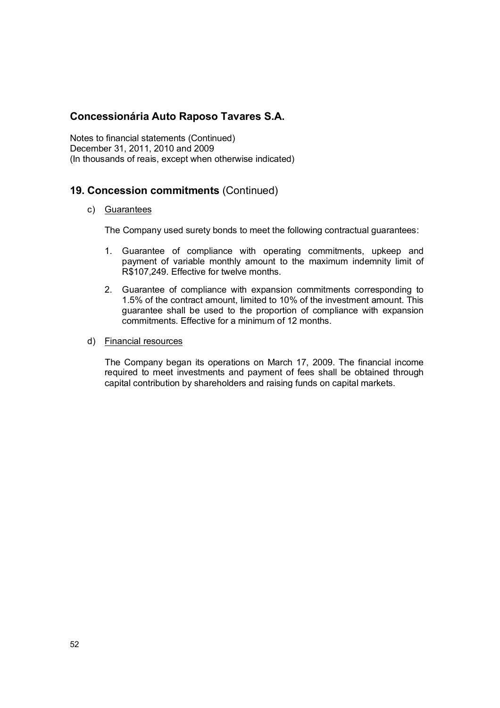Notes to financial statements (Continued) December 31, 2011, 2010 and 2009 (In thousands of reais, except when otherwise indicated)

## **19. Concession commitments** (Continued)

#### c) Guarantees

The Company used surety bonds to meet the following contractual guarantees:

- 1. Guarantee of compliance with operating commitments, upkeep and payment of variable monthly amount to the maximum indemnity limit of R\$107,249. Effective for twelve months.
- 2. Guarantee of compliance with expansion commitments corresponding to 1.5% of the contract amount, limited to 10% of the investment amount. This guarantee shall be used to the proportion of compliance with expansion commitments. Effective for a minimum of 12 months.
- d) Financial resources

 The Company began its operations on March 17, 2009. The financial income required to meet investments and payment of fees shall be obtained through capital contribution by shareholders and raising funds on capital markets.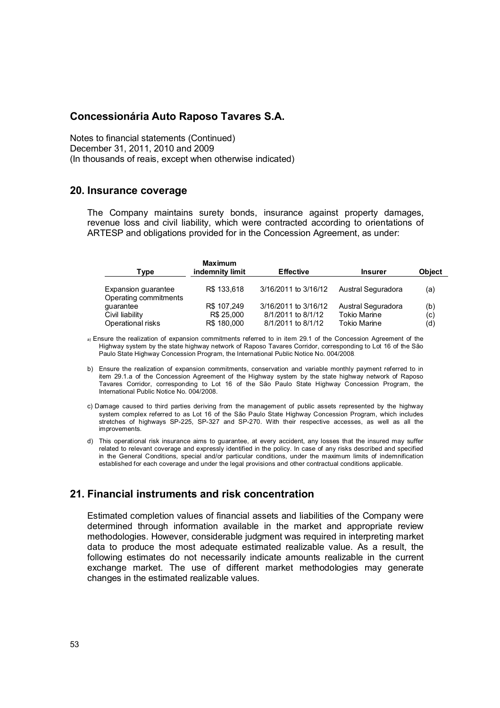Notes to financial statements (Continued) December 31, 2011, 2010 and 2009 (In thousands of reais, except when otherwise indicated)

#### **20. Insurance coverage**

The Company maintains surety bonds, insurance against property damages, revenue loss and civil liability, which were contracted according to orientations of ARTESP and obligations provided for in the Concession Agreement, as under:

| Type                                         | Maximum<br>indemnity limit | <b>Effective</b>     | <b>Insurer</b>      | <b>Object</b> |
|----------------------------------------------|----------------------------|----------------------|---------------------|---------------|
| Expansion guarantee<br>Operating commitments | R\$ 133,618                | 3/16/2011 to 3/16/12 | Austral Seguradora  | (a)           |
| guarantee                                    | R\$ 107,249                | 3/16/2011 to 3/16/12 | Austral Seguradora  | (b)           |
| Civil liability                              | R\$ 25,000                 | 8/1/2011 to 8/1/12   | <b>Tokio Marine</b> | (c)           |
| Operational risks                            | R\$ 180,000                | 8/1/2011 to 8/1/12   | <b>Tokio Marine</b> | (d)           |

a) Ensure the realization of expansion commitments referred to in item 29.1 of the Concession Agreement of the Highway system by the state highway network of Raposo Tavares Corridor, corresponding to Lot 16 of the São Paulo State Highway Concession Program, the International Public Notice No. 004/2008.

- b) Ensure the realization of expansion commitments, conservation and variable monthly payment referred to in item 29.1.a of the Concession Agreement of the Highway system by the state highway network of Raposo Tavares Corridor, corresponding to Lot 16 of the São Paulo State Highway Concession Program, the International Public Notice No. 004/2008.
- c) Damage caused to third parties deriving from the management of public assets represented by the highway system complex referred to as Lot 16 of the São Paulo State Highway Concession Program, which includes stretches of highways SP-225, SP-327 and SP-270. With their respective accesses, as well as all the improvements.
- d) This operational risk insurance aims to guarantee, at every accident, any losses that the insured may suffer related to relevant coverage and expressly identified in the policy. In case of any risks described and specified in the General Conditions, special and/or particular conditions, under the maximum limits of indemnification established for each coverage and under the legal provisions and other contractual conditions applicable.

## **21. Financial instruments and risk concentration**

Estimated completion values of financial assets and liabilities of the Company were determined through information available in the market and appropriate review methodologies. However, considerable judgment was required in interpreting market data to produce the most adequate estimated realizable value. As a result, the following estimates do not necessarily indicate amounts realizable in the current exchange market. The use of different market methodologies may generate changes in the estimated realizable values.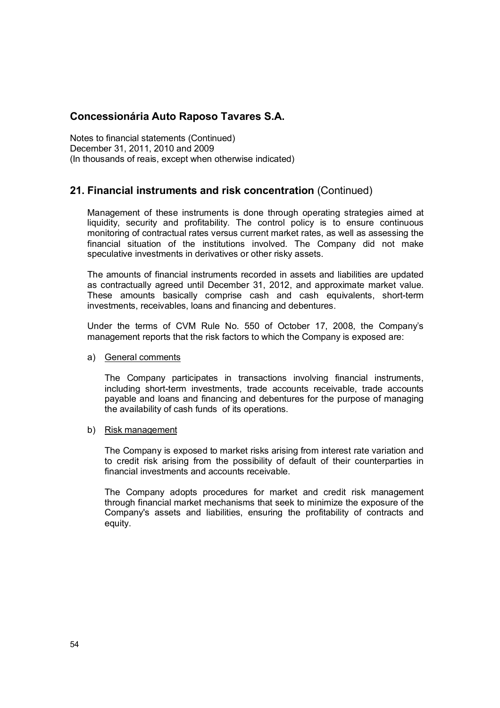Notes to financial statements (Continued) December 31, 2011, 2010 and 2009 (In thousands of reais, except when otherwise indicated)

## **21. Financial instruments and risk concentration** (Continued)

Management of these instruments is done through operating strategies aimed at liquidity, security and profitability. The control policy is to ensure continuous monitoring of contractual rates versus current market rates, as well as assessing the financial situation of the institutions involved. The Company did not make speculative investments in derivatives or other risky assets.

The amounts of financial instruments recorded in assets and liabilities are updated as contractually agreed until December 31, 2012, and approximate market value. These amounts basically comprise cash and cash equivalents, short-term investments, receivables, loans and financing and debentures.

Under the terms of CVM Rule No. 550 of October 17, 2008, the Company's management reports that the risk factors to which the Company is exposed are:

#### a) General comments

The Company participates in transactions involving financial instruments, including short-term investments, trade accounts receivable, trade accounts payable and loans and financing and debentures for the purpose of managing the availability of cash funds of its operations.

#### b) Risk management

The Company is exposed to market risks arising from interest rate variation and to credit risk arising from the possibility of default of their counterparties in financial investments and accounts receivable.

The Company adopts procedures for market and credit risk management through financial market mechanisms that seek to minimize the exposure of the Company's assets and liabilities, ensuring the profitability of contracts and equity.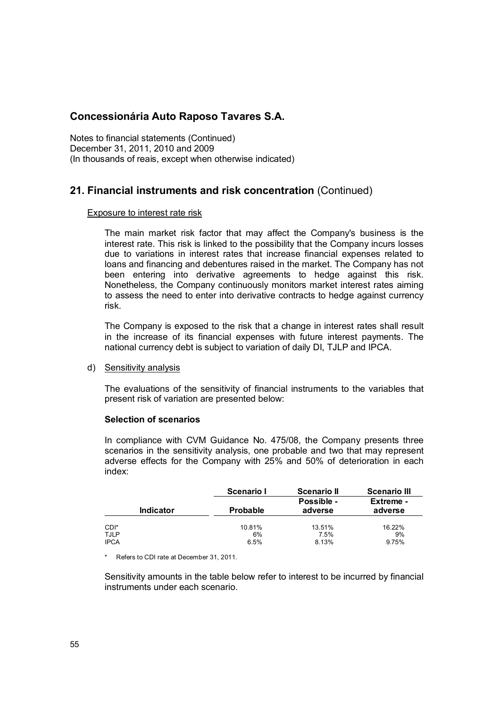Notes to financial statements (Continued) December 31, 2011, 2010 and 2009 (In thousands of reais, except when otherwise indicated)

## **21. Financial instruments and risk concentration** (Continued)

#### Exposure to interest rate risk

The main market risk factor that may affect the Company's business is the interest rate. This risk is linked to the possibility that the Company incurs losses due to variations in interest rates that increase financial expenses related to loans and financing and debentures raised in the market. The Company has not been entering into derivative agreements to hedge against this risk. Nonetheless, the Company continuously monitors market interest rates aiming to assess the need to enter into derivative contracts to hedge against currency risk.

The Company is exposed to the risk that a change in interest rates shall result in the increase of its financial expenses with future interest payments. The national currency debt is subject to variation of daily DI, TJLP and IPCA.

#### d) Sensitivity analysis

The evaluations of the sensitivity of financial instruments to the variables that present risk of variation are presented below:

#### **Selection of scenarios**

In compliance with CVM Guidance No. 475/08, the Company presents three scenarios in the sensitivity analysis, one probable and two that may represent adverse effects for the Company with 25% and 50% of deterioration in each index:

|                                    | Scenario I           | <b>Scenario II</b>      | <b>Scenario III</b>   |
|------------------------------------|----------------------|-------------------------|-----------------------|
| <b>Indicator</b>                   | <b>Probable</b>      | Possible -<br>adverse   | Extreme -<br>adverse  |
| CDI*<br><b>TJLP</b><br><b>IPCA</b> | 10.81%<br>6%<br>6.5% | 13.51%<br>7.5%<br>8.13% | 16.22%<br>9%<br>9.75% |

\* Refers to CDI rate at December 31, 2011.

Sensitivity amounts in the table below refer to interest to be incurred by financial instruments under each scenario.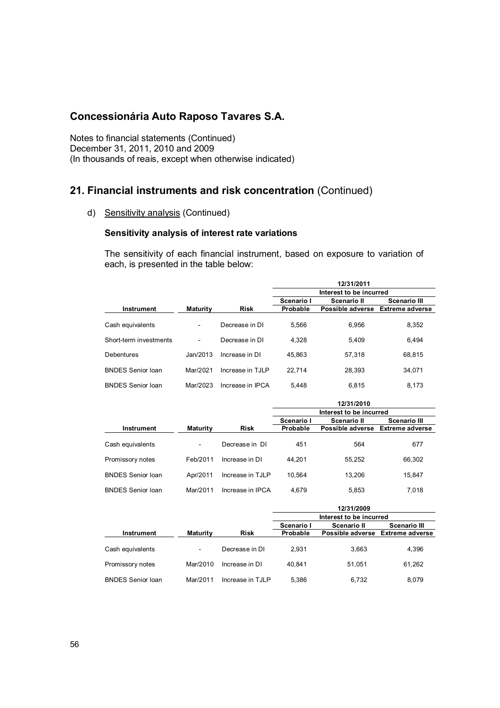Notes to financial statements (Continued) December 31, 2011, 2010 and 2009 (In thousands of reais, except when otherwise indicated)

## **21. Financial instruments and risk concentration** (Continued)

d) Sensitivity analysis (Continued)

#### **Sensitivity analysis of interest rate variations**

The sensitivity of each financial instrument, based on exposure to variation of each, is presented in the table below:

|                        |                 |                  |                         | 12/31/2011       |                        |  |
|------------------------|-----------------|------------------|-------------------------|------------------|------------------------|--|
|                        |                 |                  | Interest to be incurred |                  |                        |  |
|                        |                 |                  | Scenario I              | Scenario II      | <b>Scenario III</b>    |  |
| <b>Instrument</b>      | <b>Maturity</b> | <b>Risk</b>      | Probable                | Possible adverse | <b>Extreme adverse</b> |  |
| Cash equivalents       |                 | Decrease in DI   | 5,566                   | 6,956            | 8,352                  |  |
| Short-term investments |                 | Decrease in DI   | 4,328                   | 5.409            | 6,494                  |  |
| Debentures             | Jan/2013        | Increase in DI   | 45.863                  | 57,318           | 68,815                 |  |
| BNDES Senior Ioan      | Mar/2021        | Increase in TJLP | 22.714                  | 28,393           | 34,071                 |  |
| BNDES Senior Ioan      | Mar/2023        | Increase in IPCA | 5.448                   | 6.815            | 8.173                  |  |

|                          |                          |                  | 12/31/2010              |                  |                        |  |  |
|--------------------------|--------------------------|------------------|-------------------------|------------------|------------------------|--|--|
|                          |                          |                  | Interest to be incurred |                  |                        |  |  |
|                          |                          |                  | Scenario I              | Scenario II      | <b>Scenario III</b>    |  |  |
| Instrument               | <b>Maturity</b>          | <b>Risk</b>      | Probable                | Possible adverse | <b>Extreme adverse</b> |  |  |
|                          |                          |                  |                         |                  |                        |  |  |
| Cash equivalents         | $\overline{\phantom{a}}$ | Decrease in DI   | 451                     | 564              | 677                    |  |  |
|                          |                          |                  |                         |                  |                        |  |  |
| Promissory notes         | Feb/2011                 | Increase in DI   | 44.201                  | 55.252           | 66,302                 |  |  |
| <b>BNDES Senior loan</b> | Apr/2011                 | Increase in TJLP | 10.564                  | 13.206           | 15.847                 |  |  |
|                          |                          |                  |                         |                  |                        |  |  |
| <b>BNDES Senior loan</b> | Mar/2011                 | Increase in IPCA | 4.679                   | 5,853            | 7.018                  |  |  |

|                          |                 |                  | 12/31/2009 |                                  |                     |  |
|--------------------------|-----------------|------------------|------------|----------------------------------|---------------------|--|
|                          |                 |                  |            | Interest to be incurred          |                     |  |
|                          |                 |                  | Scenario I | Scenario II                      | <b>Scenario III</b> |  |
| Instrument               | <b>Maturity</b> | <b>Risk</b>      | Probable   | Possible adverse Extreme adverse |                     |  |
| Cash equivalents         | -               | Decrease in DI   | 2.931      | 3,663                            | 4.396               |  |
| Promissory notes         | Mar/2010        | Increase in DI   | 40.841     | 51.051                           | 61,262              |  |
| <b>BNDES Senior loan</b> | Mar/2011        | Increase in TJLP | 5,386      | 6.732                            | 8.079               |  |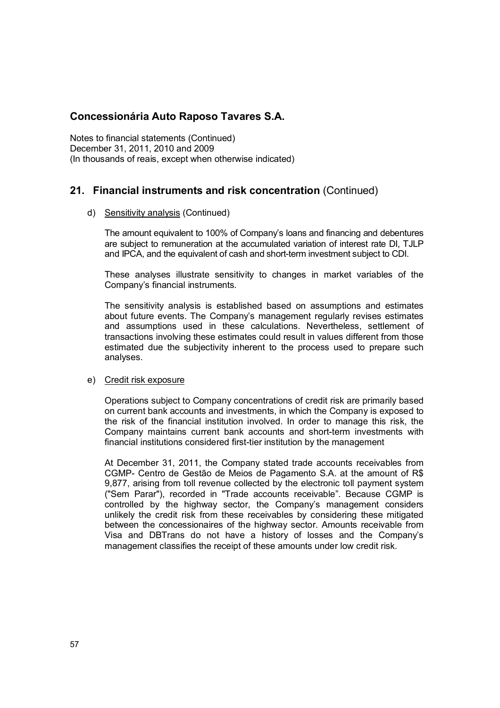Notes to financial statements (Continued) December 31, 2011, 2010 and 2009 (In thousands of reais, except when otherwise indicated)

## **21. Financial instruments and risk concentration** (Continued)

#### d) Sensitivity analysis (Continued)

The amount equivalent to 100% of Company's loans and financing and debentures are subject to remuneration at the accumulated variation of interest rate DI, TJLP and IPCA, and the equivalent of cash and short-term investment subject to CDI.

These analyses illustrate sensitivity to changes in market variables of the Company's financial instruments.

The sensitivity analysis is established based on assumptions and estimates about future events. The Company's management regularly revises estimates and assumptions used in these calculations. Nevertheless, settlement of transactions involving these estimates could result in values different from those estimated due the subjectivity inherent to the process used to prepare such analyses.

#### e) Credit risk exposure

Operations subject to Company concentrations of credit risk are primarily based on current bank accounts and investments, in which the Company is exposed to the risk of the financial institution involved. In order to manage this risk, the Company maintains current bank accounts and short-term investments with financial institutions considered first-tier institution by the management

At December 31, 2011, the Company stated trade accounts receivables from CGMP- Centro de Gestão de Meios de Pagamento S.A. at the amount of R\$ 9,877, arising from toll revenue collected by the electronic toll payment system ("Sem Parar"), recorded in "Trade accounts receivable". Because CGMP is controlled by the highway sector, the Company's management considers unlikely the credit risk from these receivables by considering these mitigated between the concessionaires of the highway sector. Amounts receivable from Visa and DBTrans do not have a history of losses and the Company's management classifies the receipt of these amounts under low credit risk.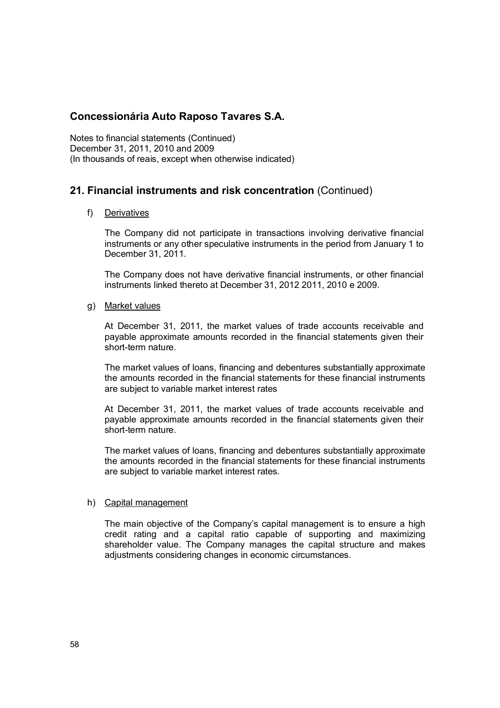Notes to financial statements (Continued) December 31, 2011, 2010 and 2009 (In thousands of reais, except when otherwise indicated)

## **21. Financial instruments and risk concentration** (Continued)

#### f) Derivatives

The Company did not participate in transactions involving derivative financial instruments or any other speculative instruments in the period from January 1 to December 31, 2011.

The Company does not have derivative financial instruments, or other financial instruments linked thereto at December 31, 2012 2011, 2010 e 2009.

#### g) Market values

At December 31, 2011, the market values of trade accounts receivable and payable approximate amounts recorded in the financial statements given their short-term nature.

The market values of loans, financing and debentures substantially approximate the amounts recorded in the financial statements for these financial instruments are subject to variable market interest rates

At December 31, 2011, the market values of trade accounts receivable and payable approximate amounts recorded in the financial statements given their short-term nature.

The market values of loans, financing and debentures substantially approximate the amounts recorded in the financial statements for these financial instruments are subject to variable market interest rates.

#### h) Capital management

The main objective of the Company's capital management is to ensure a high credit rating and a capital ratio capable of supporting and maximizing shareholder value. The Company manages the capital structure and makes adjustments considering changes in economic circumstances.